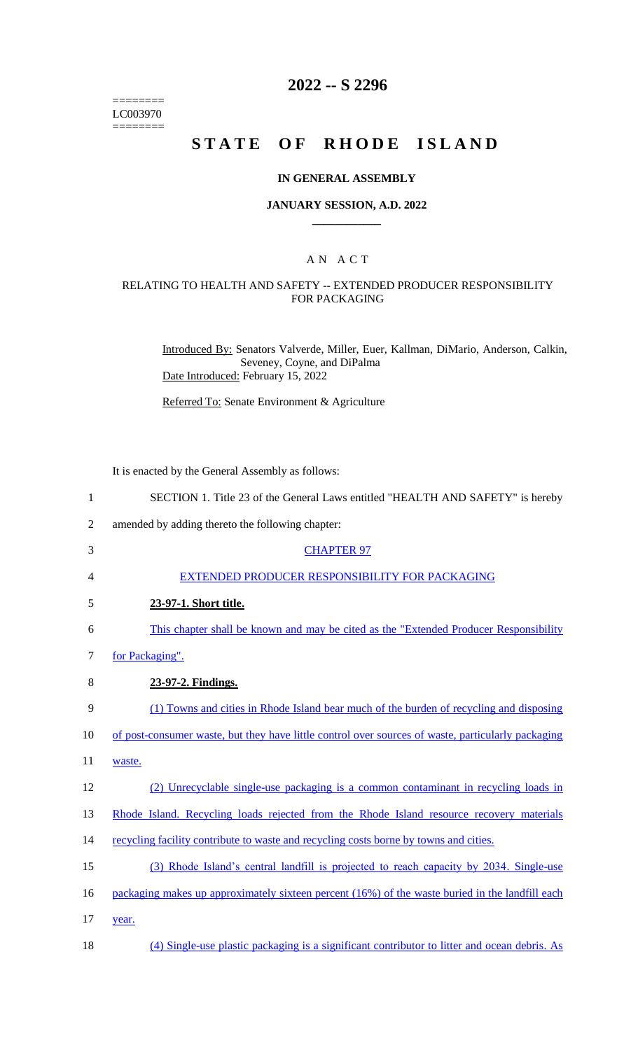======== LC003970  $=$ 

## **2022 -- S 2296**

## **STATE OF RHODE ISLAND**

### **IN GENERAL ASSEMBLY**

### **JANUARY SESSION, A.D. 2022 \_\_\_\_\_\_\_\_\_\_\_\_**

### A N A C T

### RELATING TO HEALTH AND SAFETY -- EXTENDED PRODUCER RESPONSIBILITY FOR PACKAGING

Introduced By: Senators Valverde, Miller, Euer, Kallman, DiMario, Anderson, Calkin, Seveney, Coyne, and DiPalma Date Introduced: February 15, 2022

Referred To: Senate Environment & Agriculture

It is enacted by the General Assembly as follows:

| $\mathbf{1}$   | SECTION 1. Title 23 of the General Laws entitled "HEALTH AND SAFETY" is hereby                     |
|----------------|----------------------------------------------------------------------------------------------------|
| $\overline{2}$ | amended by adding thereto the following chapter:                                                   |
| 3              | <b>CHAPTER 97</b>                                                                                  |
| 4              | EXTENDED PRODUCER RESPONSIBILITY FOR PACKAGING                                                     |
| 5              | 23-97-1. Short title.                                                                              |
| 6              | This chapter shall be known and may be cited as the "Extended Producer Responsibility"             |
| 7              | for Packaging".                                                                                    |
| 8              | 23-97-2. Findings.                                                                                 |
| 9              | (1) Towns and cities in Rhode Island bear much of the burden of recycling and disposing            |
| 10             | of post-consumer waste, but they have little control over sources of waste, particularly packaging |
| 11             | waste.                                                                                             |
| 12             | (2) Unrecyclable single-use packaging is a common contaminant in recycling loads in                |
| 13             | Rhode Island. Recycling loads rejected from the Rhode Island resource recovery materials           |
| 14             | recycling facility contribute to waste and recycling costs borne by towns and cities.              |
| 15             | (3) Rhode Island's central landfill is projected to reach capacity by 2034. Single-use             |
| 16             | packaging makes up approximately sixteen percent (16%) of the waste buried in the landfill each    |
| 17             | year.                                                                                              |
| 18             | (4) Single-use plastic packaging is a significant contributor to litter and ocean debris. As       |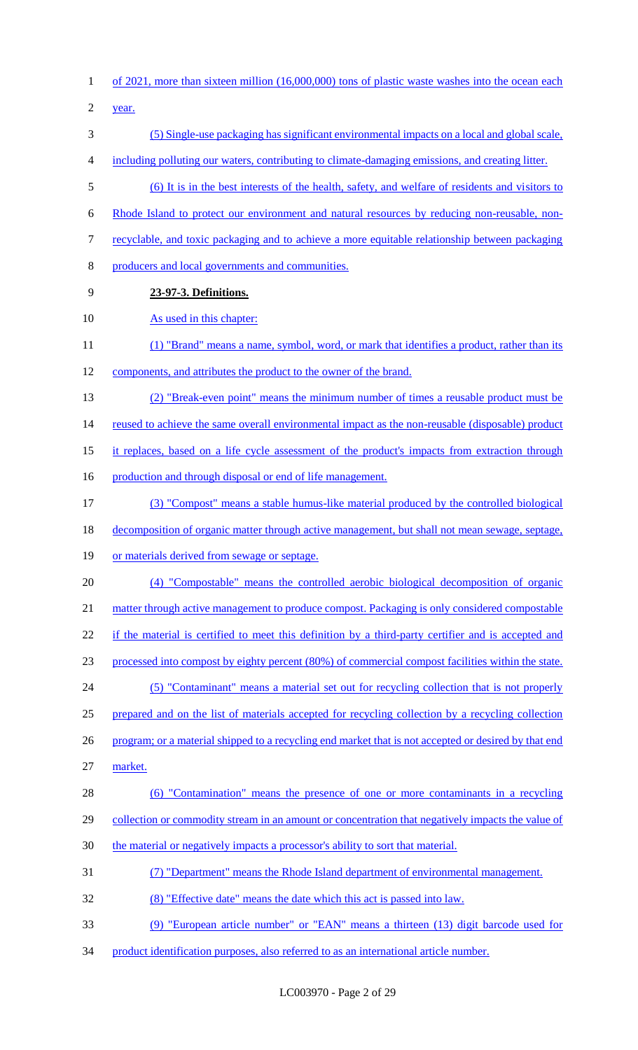of 2021, more than sixteen million (16,000,000) tons of plastic waste washes into the ocean each

year.

- (5) Single-use packaging has significant environmental impacts on a local and global scale,
- including polluting our waters, contributing to climate-damaging emissions, and creating litter.
- (6) It is in the best interests of the health, safety, and welfare of residents and visitors to
- Rhode Island to protect our environment and natural resources by reducing non-reusable, non-
- recyclable, and toxic packaging and to achieve a more equitable relationship between packaging
- producers and local governments and communities.
- **23-97-3. Definitions.**

### 10 As used in this chapter:

- 11 (1) "Brand" means a name, symbol, word, or mark that identifies a product, rather than its components, and attributes the product to the owner of the brand.
- (2) "Break-even point" means the minimum number of times a reusable product must be

14 reused to achieve the same overall environmental impact as the non-reusable (disposable) product

- it replaces, based on a life cycle assessment of the product's impacts from extraction through
- 16 production and through disposal or end of life management.
- (3) "Compost" means a stable humus-like material produced by the controlled biological
- decomposition of organic matter through active management, but shall not mean sewage, septage,
- or materials derived from sewage or septage.
- (4) "Compostable" means the controlled aerobic biological decomposition of organic 21 matter through active management to produce compost. Packaging is only considered compostable

22 if the material is certified to meet this definition by a third-party certifier and is accepted and

- processed into compost by eighty percent (80%) of commercial compost facilities within the state.
- (5) "Contaminant" means a material set out for recycling collection that is not properly
- prepared and on the list of materials accepted for recycling collection by a recycling collection
- 26 program; or a material shipped to a recycling end market that is not accepted or desired by that end market.
- (6) "Contamination" means the presence of one or more contaminants in a recycling 29 collection or commodity stream in an amount or concentration that negatively impacts the value of
- 30 the material or negatively impacts a processor's ability to sort that material.
- (7) "Department" means the Rhode Island department of environmental management.
- (8) "Effective date" means the date which this act is passed into law.
- (9) "European article number" or "EAN" means a thirteen (13) digit barcode used for
- product identification purposes, also referred to as an international article number.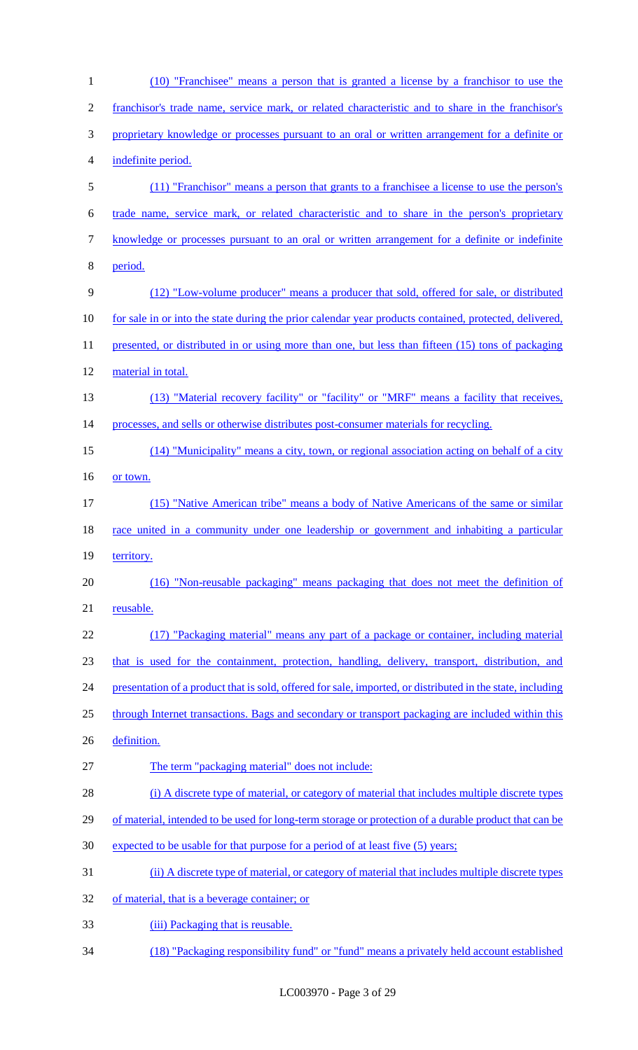| $\mathbf{1}$   | (10) "Franchisee" means a person that is granted a license by a franchisor to use the                      |
|----------------|------------------------------------------------------------------------------------------------------------|
| $\overline{2}$ | franchisor's trade name, service mark, or related characteristic and to share in the franchisor's          |
| 3              | proprietary knowledge or processes pursuant to an oral or written arrangement for a definite or            |
| 4              | indefinite period.                                                                                         |
| 5              | (11) "Franchisor" means a person that grants to a franchisee a license to use the person's                 |
| 6              | trade name, service mark, or related characteristic and to share in the person's proprietary               |
| $\tau$         | knowledge or processes pursuant to an oral or written arrangement for a definite or indefinite             |
| 8              | period.                                                                                                    |
| 9              | (12) "Low-volume producer" means a producer that sold, offered for sale, or distributed                    |
| 10             | for sale in or into the state during the prior calendar year products contained, protected, delivered,     |
| 11             | presented, or distributed in or using more than one, but less than fifteen (15) tons of packaging          |
| 12             | material in total.                                                                                         |
| 13             | (13) "Material recovery facility" or "facility" or "MRF" means a facility that receives,                   |
| 14             | processes, and sells or otherwise distributes post-consumer materials for recycling.                       |
| 15             | (14) "Municipality" means a city, town, or regional association acting on behalf of a city                 |
| 16             | or town.                                                                                                   |
| 17             | (15) "Native American tribe" means a body of Native Americans of the same or similar                       |
| 18             | race united in a community under one leadership or government and inhabiting a particular                  |
| 19             | territory.                                                                                                 |
| 20             | (16) "Non-reusable packaging" means packaging that does not meet the definition of                         |
| 21             | reusable.                                                                                                  |
| 22             | (17) "Packaging material" means any part of a package or container, including material                     |
| 23             | that is used for the containment, protection, handling, delivery, transport, distribution, and             |
| 24             | presentation of a product that is sold, offered for sale, imported, or distributed in the state, including |
| 25             | through Internet transactions. Bags and secondary or transport packaging are included within this          |
| 26             | definition.                                                                                                |
| 27             | The term "packaging material" does not include:                                                            |
| 28             | (i) A discrete type of material, or category of material that includes multiple discrete types             |
| 29             | of material, intended to be used for long-term storage or protection of a durable product that can be      |
| 30             | expected to be usable for that purpose for a period of at least five (5) years;                            |
| 31             | (ii) A discrete type of material, or category of material that includes multiple discrete types            |
| 32             | of material, that is a beverage container; or                                                              |
| 33             | (iii) Packaging that is reusable.                                                                          |
| 34             | (18) "Packaging responsibility fund" or "fund" means a privately held account established                  |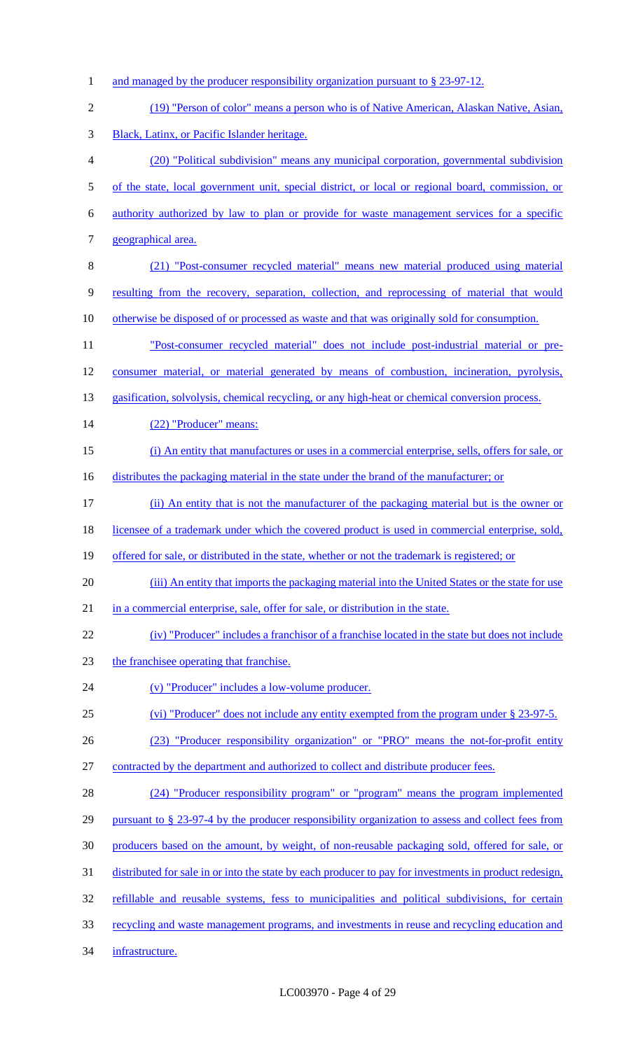1 and managed by the producer responsibility organization pursuant to § 23-97-12. (19) "Person of color" means a person who is of Native American, Alaskan Native, Asian, Black, Latinx, or Pacific Islander heritage. (20) "Political subdivision" means any municipal corporation, governmental subdivision 5 of the state, local government unit, special district, or local or regional board, commission, or authority authorized by law to plan or provide for waste management services for a specific geographical area. (21) "Post-consumer recycled material" means new material produced using material resulting from the recovery, separation, collection, and reprocessing of material that would 10 otherwise be disposed of or processed as waste and that was originally sold for consumption. "Post-consumer recycled material" does not include post-industrial material or pre- consumer material, or material generated by means of combustion, incineration, pyrolysis, 13 gasification, solvolysis, chemical recycling, or any high-heat or chemical conversion process. 14 (22) "Producer" means: (i) An entity that manufactures or uses in a commercial enterprise, sells, offers for sale, or 16 distributes the packaging material in the state under the brand of the manufacturer; or (ii) An entity that is not the manufacturer of the packaging material but is the owner or 18 licensee of a trademark under which the covered product is used in commercial enterprise, sold, 19 offered for sale, or distributed in the state, whether or not the trademark is registered; or (iii) An entity that imports the packaging material into the United States or the state for use in a commercial enterprise, sale, offer for sale, or distribution in the state. (iv) "Producer" includes a franchisor of a franchise located in the state but does not include the franchisee operating that franchise. (v) "Producer" includes a low-volume producer. (vi) "Producer" does not include any entity exempted from the program under § 23-97-5. (23) "Producer responsibility organization" or "PRO" means the not-for-profit entity contracted by the department and authorized to collect and distribute producer fees. (24) "Producer responsibility program" or "program" means the program implemented 29 pursuant to § 23-97-4 by the producer responsibility organization to assess and collect fees from producers based on the amount, by weight, of non-reusable packaging sold, offered for sale, or distributed for sale in or into the state by each producer to pay for investments in product redesign, refillable and reusable systems, fess to municipalities and political subdivisions, for certain recycling and waste management programs, and investments in reuse and recycling education and infrastructure.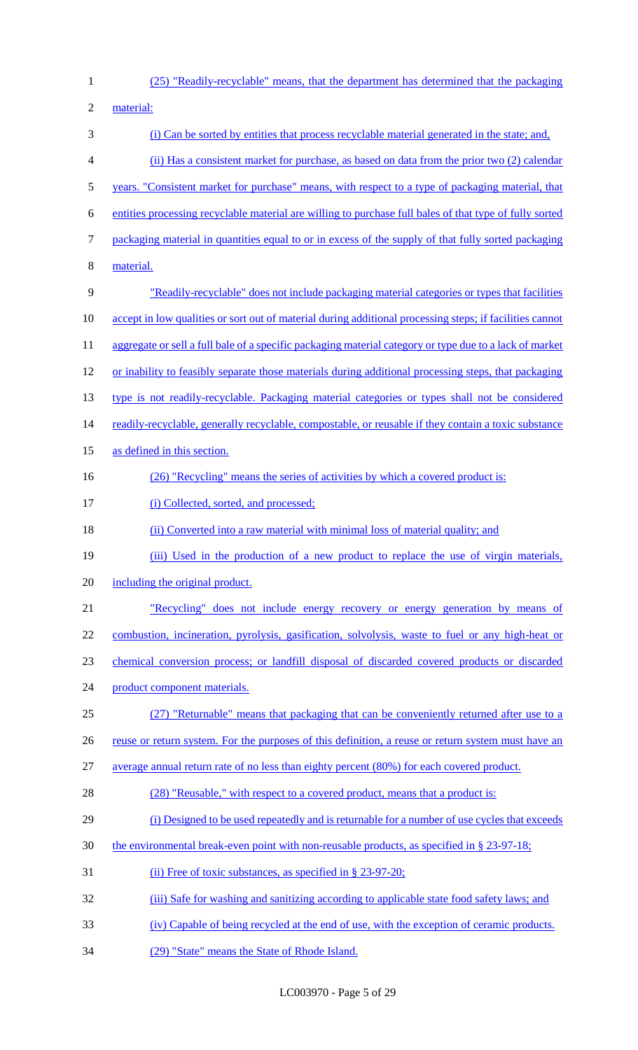- (25) "Readily-recyclable" means, that the department has determined that the packaging material: (i) Can be sorted by entities that process recyclable material generated in the state; and, (ii) Has a consistent market for purchase, as based on data from the prior two (2) calendar years. "Consistent market for purchase" means, with respect to a type of packaging material, that entities processing recyclable material are willing to purchase full bales of that type of fully sorted packaging material in quantities equal to or in excess of the supply of that fully sorted packaging material. "Readily-recyclable" does not include packaging material categories or types that facilities accept in low qualities or sort out of material during additional processing steps; if facilities cannot 11 aggregate or sell a full bale of a specific packaging material category or type due to a lack of market or inability to feasibly separate those materials during additional processing steps, that packaging type is not readily-recyclable. Packaging material categories or types shall not be considered 14 readily-recyclable, generally recyclable, compostable, or reusable if they contain a toxic substance as defined in this section. 16 (26) "Recycling" means the series of activities by which a covered product is: 17 (i) Collected, sorted, and processed; 18 (ii) Converted into a raw material with minimal loss of material quality; and 19 (iii) Used in the production of a new product to replace the use of virgin materials, including the original product. "Recycling" does not include energy recovery or energy generation by means of combustion, incineration, pyrolysis, gasification, solvolysis, waste to fuel or any high-heat or chemical conversion process; or landfill disposal of discarded covered products or discarded product component materials. (27) "Returnable" means that packaging that can be conveniently returned after use to a 26 reuse or return system. For the purposes of this definition, a reuse or return system must have an average annual return rate of no less than eighty percent (80%) for each covered product. 28 (28) "Reusable," with respect to a covered product, means that a product is: (i) Designed to be used repeatedly and is returnable for a number of use cycles that exceeds the environmental break-even point with non-reusable products, as specified in § 23-97-18; 31 (ii) Free of toxic substances, as specified in § 23-97-20; 32 (iii) Safe for washing and sanitizing according to applicable state food safety laws; and (iv) Capable of being recycled at the end of use, with the exception of ceramic products.
- (29) "State" means the State of Rhode Island.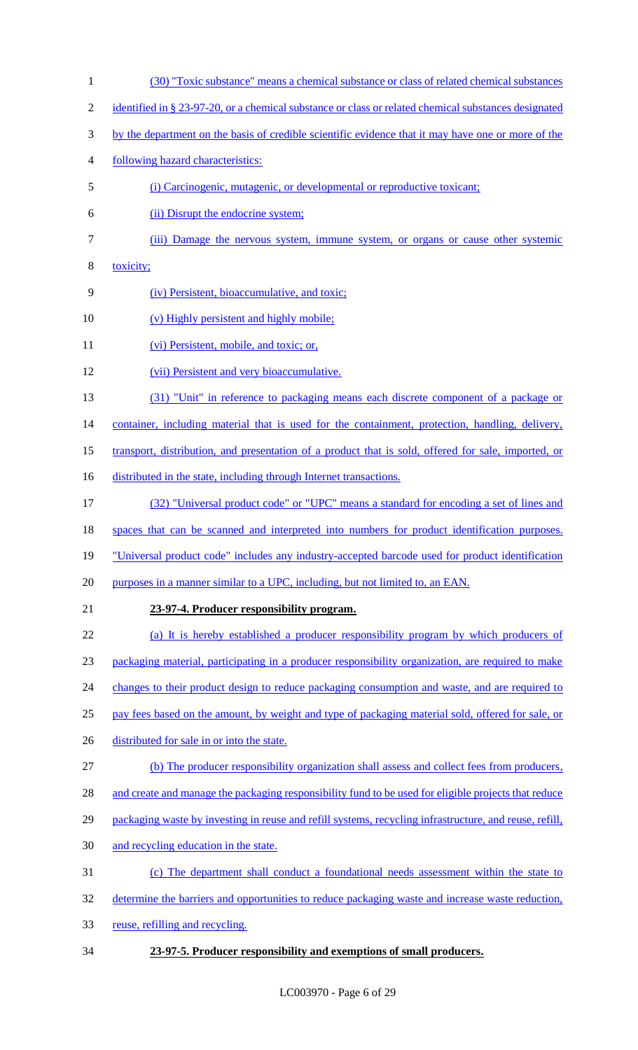- (30) "Toxic substance" means a chemical substance or class of related chemical substances
- 2 identified in § 23-97-20, or a chemical substance or class or related chemical substances designated
- by the department on the basis of credible scientific evidence that it may have one or more of the
- following hazard characteristics:
- (i) Carcinogenic, mutagenic, or developmental or reproductive toxicant;
- (ii) Disrupt the endocrine system;
- (iii) Damage the nervous system, immune system, or organs or cause other systemic
- toxicity;
- (iv) Persistent, bioaccumulative, and toxic;
- 10 (v) Highly persistent and highly mobile;
- 11 (vi) Persistent, mobile, and toxic; or,
- (vii) Persistent and very bioaccumulative.
- (31) "Unit" in reference to packaging means each discrete component of a package or

14 container, including material that is used for the containment, protection, handling, delivery,

- transport, distribution, and presentation of a product that is sold, offered for sale, imported, or
- 16 distributed in the state, including through Internet transactions.
- (32) "Universal product code" or "UPC" means a standard for encoding a set of lines and
- spaces that can be scanned and interpreted into numbers for product identification purposes.
- "Universal product code" includes any industry-accepted barcode used for product identification
- 20 purposes in a manner similar to a UPC, including, but not limited to, an EAN.
- 

### **23-97-4. Producer responsibility program.**

(a) It is hereby established a producer responsibility program by which producers of

packaging material, participating in a producer responsibility organization, are required to make

- 24 changes to their product design to reduce packaging consumption and waste, and are required to
- pay fees based on the amount, by weight and type of packaging material sold, offered for sale, or
- 26 distributed for sale in or into the state.
- (b) The producer responsibility organization shall assess and collect fees from producers,
- 28 and create and manage the packaging responsibility fund to be used for eligible projects that reduce
- 29 packaging waste by investing in reuse and refill systems, recycling infrastructure, and reuse, refill,
- and recycling education in the state.
- (c) The department shall conduct a foundational needs assessment within the state to
- 32 determine the barriers and opportunities to reduce packaging waste and increase waste reduction,
- reuse, refilling and recycling.
- **23-97-5. Producer responsibility and exemptions of small producers.**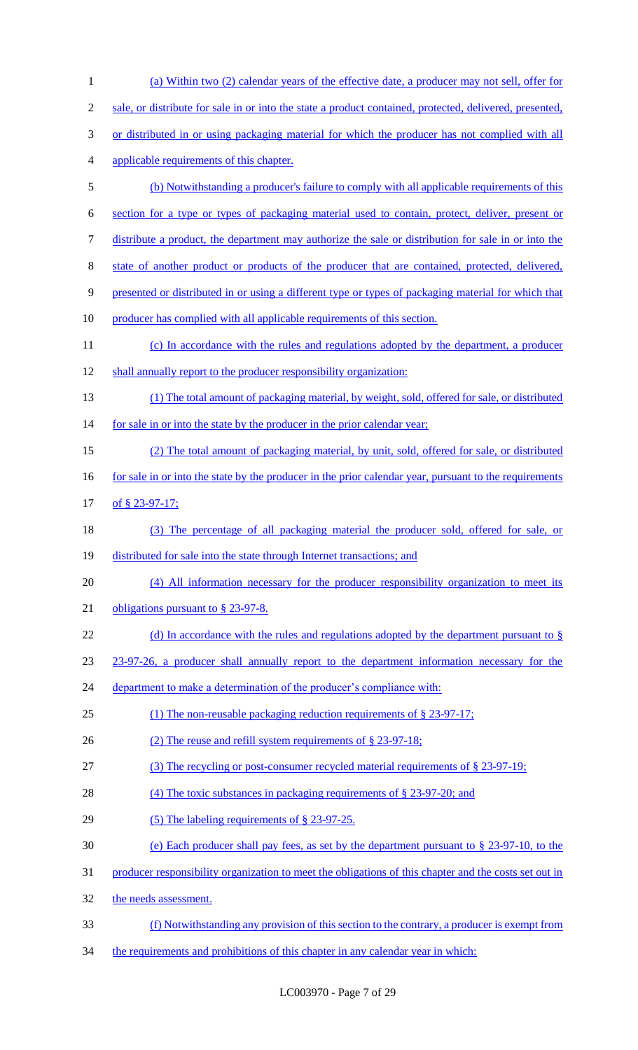| $\mathbf{1}$   | (a) Within two (2) calendar years of the effective date, a producer may not sell, offer for             |
|----------------|---------------------------------------------------------------------------------------------------------|
| $\mathfrak{2}$ | sale, or distribute for sale in or into the state a product contained, protected, delivered, presented, |
| 3              | or distributed in or using packaging material for which the producer has not complied with all          |
| $\overline{4}$ | applicable requirements of this chapter.                                                                |
| 5              | (b) Notwithstanding a producer's failure to comply with all applicable requirements of this             |
| 6              | section for a type or types of packaging material used to contain, protect, deliver, present or         |
| $\tau$         | distribute a product, the department may authorize the sale or distribution for sale in or into the     |
| 8              | state of another product or products of the producer that are contained, protected, delivered,          |
| $\overline{9}$ | presented or distributed in or using a different type or types of packaging material for which that     |
| 10             | producer has complied with all applicable requirements of this section.                                 |
| 11             | (c) In accordance with the rules and regulations adopted by the department, a producer                  |
| 12             | shall annually report to the producer responsibility organization:                                      |
| 13             | (1) The total amount of packaging material, by weight, sold, offered for sale, or distributed           |
| 14             | for sale in or into the state by the producer in the prior calendar year;                               |
| 15             | (2) The total amount of packaging material, by unit, sold, offered for sale, or distributed             |
| 16             | for sale in or into the state by the producer in the prior calendar year, pursuant to the requirements  |
| 17             | of § 23-97-17;                                                                                          |
| 18             | (3) The percentage of all packaging material the producer sold, offered for sale, or                    |
| 19             | distributed for sale into the state through Internet transactions; and                                  |
| 20             | (4) All information necessary for the producer responsibility organization to meet its                  |
| 21             | obligations pursuant to $\S$ 23-97-8.                                                                   |
| 22             | (d) In accordance with the rules and regulations adopted by the department pursuant to $\S$             |
| 23             | 23-97-26, a producer shall annually report to the department information necessary for the              |
| 24             | department to make a determination of the producer's compliance with:                                   |
| 25             | (1) The non-reusable packaging reduction requirements of $\S 23-97-17$ ;                                |
| 26             | (2) The reuse and refill system requirements of $\S$ 23-97-18;                                          |
| 27             | (3) The recycling or post-consumer recycled material requirements of § 23-97-19;                        |
| 28             | (4) The toxic substances in packaging requirements of $\S$ 23-97-20; and                                |
| 29             | $(5)$ The labeling requirements of § 23-97-25.                                                          |
| 30             | (e) Each producer shall pay fees, as set by the department pursuant to $\S 23-97-10$ , to the           |
| 31             | producer responsibility organization to meet the obligations of this chapter and the costs set out in   |
| 32             | the needs assessment.                                                                                   |
| 33             | (f) Notwithstanding any provision of this section to the contrary, a producer is exempt from            |
| 34             | the requirements and prohibitions of this chapter in any calendar year in which:                        |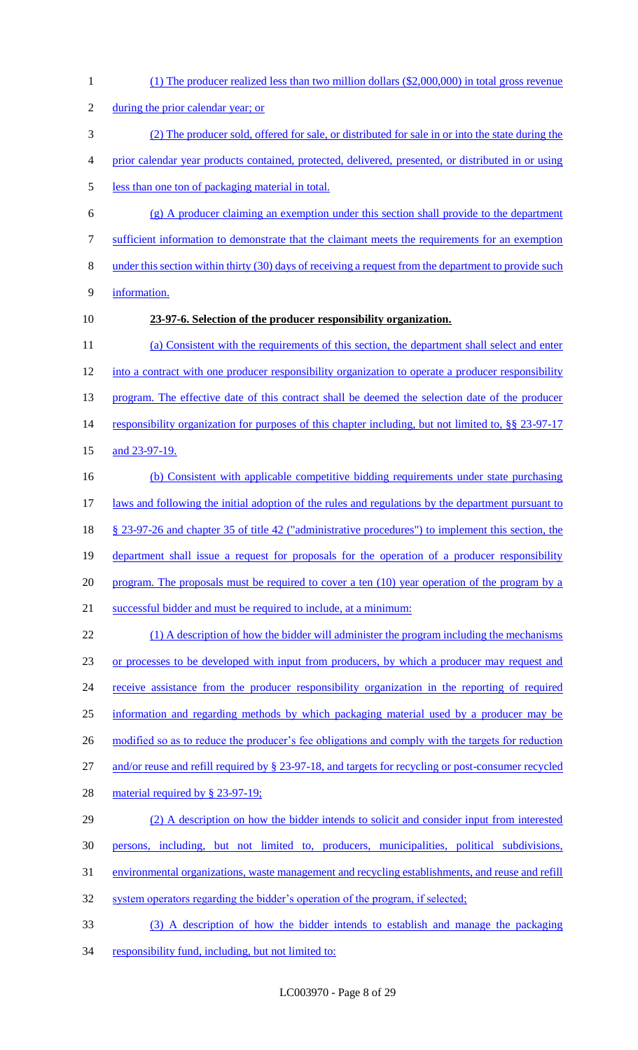(1) The producer realized less than two million dollars (\$2,000,000) in total gross revenue 2 during the prior calendar year; or (2) The producer sold, offered for sale, or distributed for sale in or into the state during the prior calendar year products contained, protected, delivered, presented, or distributed in or using less than one ton of packaging material in total. (g) A producer claiming an exemption under this section shall provide to the department sufficient information to demonstrate that the claimant meets the requirements for an exemption under this section within thirty (30) days of receiving a request from the department to provide such information. **23-97-6. Selection of the producer responsibility organization.** (a) Consistent with the requirements of this section, the department shall select and enter into a contract with one producer responsibility organization to operate a producer responsibility 13 program. The effective date of this contract shall be deemed the selection date of the producer 14 responsibility organization for purposes of this chapter including, but not limited to, §§ 23-97-17 15 and 23-97-19. (b) Consistent with applicable competitive bidding requirements under state purchasing 17 laws and following the initial adoption of the rules and regulations by the department pursuant to § 23-97-26 and chapter 35 of title 42 ("administrative procedures") to implement this section, the department shall issue a request for proposals for the operation of a producer responsibility 20 program. The proposals must be required to cover a ten (10) year operation of the program by a successful bidder and must be required to include, at a minimum: 22 (1) A description of how the bidder will administer the program including the mechanisms 23 or processes to be developed with input from producers, by which a producer may request and 24 receive assistance from the producer responsibility organization in the reporting of required information and regarding methods by which packaging material used by a producer may be 26 modified so as to reduce the producer's fee obligations and comply with the targets for reduction and/or reuse and refill required by § 23-97-18, and targets for recycling or post-consumer recycled 28 material required by § 23-97-19; (2) A description on how the bidder intends to solicit and consider input from interested persons, including, but not limited to, producers, municipalities, political subdivisions, environmental organizations, waste management and recycling establishments, and reuse and refill 32 system operators regarding the bidder's operation of the program, if selected; (3) A description of how the bidder intends to establish and manage the packaging 34 responsibility fund, including, but not limited to: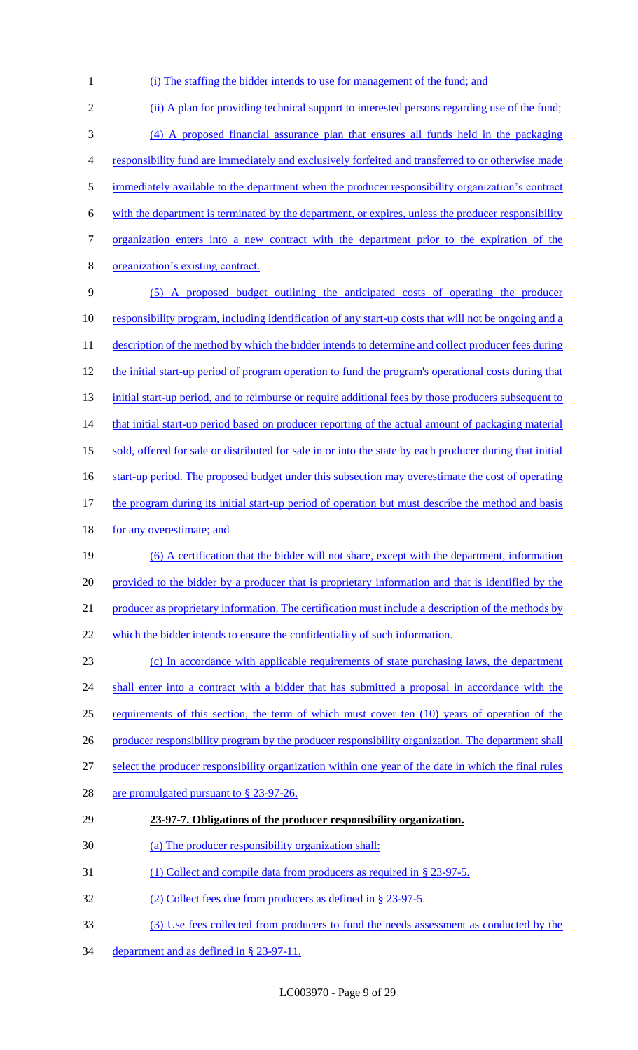1 (i) The staffing the bidder intends to use for management of the fund; and

2 (ii) A plan for providing technical support to interested persons regarding use of the fund; 3 (4) A proposed financial assurance plan that ensures all funds held in the packaging 4 responsibility fund are immediately and exclusively forfeited and transferred to or otherwise made 5 immediately available to the department when the producer responsibility organization's contract 6 with the department is terminated by the department, or expires, unless the producer responsibility 7 organization enters into a new contract with the department prior to the expiration of the 8 organization's existing contract. 9 (5) A proposed budget outlining the anticipated costs of operating the producer 10 responsibility program, including identification of any start-up costs that will not be ongoing and a 11 description of the method by which the bidder intends to determine and collect producer fees during 12 the initial start-up period of program operation to fund the program's operational costs during that 13 initial start-up period, and to reimburse or require additional fees by those producers subsequent to 14 that initial start-up period based on producer reporting of the actual amount of packaging material 15 sold, offered for sale or distributed for sale in or into the state by each producer during that initial 16 start-up period. The proposed budget under this subsection may overestimate the cost of operating 17 the program during its initial start-up period of operation but must describe the method and basis 18 for any overestimate; and 19 (6) A certification that the bidder will not share, except with the department, information 20 provided to the bidder by a producer that is proprietary information and that is identified by the 21 producer as proprietary information. The certification must include a description of the methods by 22 which the bidder intends to ensure the confidentiality of such information. 23 (c) In accordance with applicable requirements of state purchasing laws, the department 24 shall enter into a contract with a bidder that has submitted a proposal in accordance with the 25 requirements of this section, the term of which must cover ten (10) years of operation of the 26 producer responsibility program by the producer responsibility organization. The department shall 27 select the producer responsibility organization within one year of the date in which the final rules 28 are promulgated pursuant to § 23-97-26. 29 **23-97-7. Obligations of the producer responsibility organization.**  30 (a) The producer responsibility organization shall: 31 (1) Collect and compile data from producers as required in § 23-97-5. 32 (2) Collect fees due from producers as defined in § 23-97-5. 33 (3) Use fees collected from producers to fund the needs assessment as conducted by the

34 department and as defined in § 23-97-11.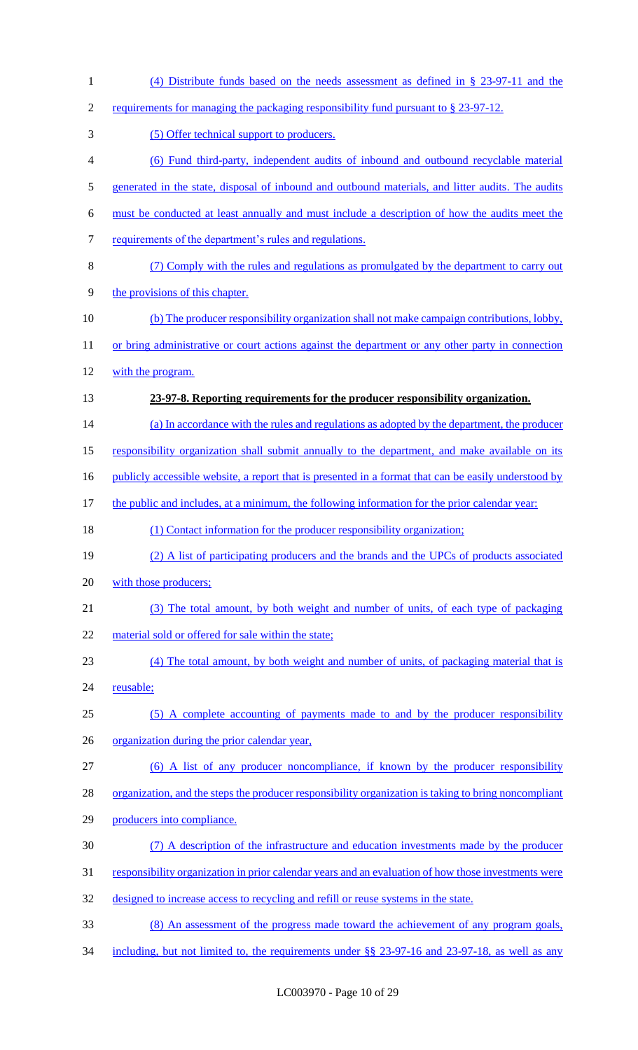| $\mathbf{1}$     | (4) Distribute funds based on the needs assessment as defined in $\S$ 23-97-11 and the               |
|------------------|------------------------------------------------------------------------------------------------------|
| $\mathfrak{2}$   | requirements for managing the packaging responsibility fund pursuant to § 23-97-12.                  |
| 3                | (5) Offer technical support to producers.                                                            |
| $\overline{4}$   | (6) Fund third-party, independent audits of inbound and outbound recyclable material                 |
| 5                | generated in the state, disposal of inbound and outbound materials, and litter audits. The audits    |
| 6                | must be conducted at least annually and must include a description of how the audits meet the        |
| $\boldsymbol{7}$ | requirements of the department's rules and regulations.                                              |
| $8\,$            | (7) Comply with the rules and regulations as promulgated by the department to carry out              |
| $\mathbf{9}$     | the provisions of this chapter.                                                                      |
| 10               | (b) The producer responsibility organization shall not make campaign contributions, lobby,           |
| 11               | or bring administrative or court actions against the department or any other party in connection     |
| 12               | with the program.                                                                                    |
| 13               | 23-97-8. Reporting requirements for the producer responsibility organization.                        |
| 14               | (a) In accordance with the rules and regulations as adopted by the department, the producer          |
| 15               | responsibility organization shall submit annually to the department, and make available on its       |
| 16               | publicly accessible website, a report that is presented in a format that can be easily understood by |
| 17               | the public and includes, at a minimum, the following information for the prior calendar year:        |
| 18               | (1) Contact information for the producer responsibility organization;                                |
| 19               | (2) A list of participating producers and the brands and the UPCs of products associated             |
| 20               | with those producers;                                                                                |
| 21               | (3) The total amount, by both weight and number of units, of each type of packaging                  |
| 22               | material sold or offered for sale within the state;                                                  |
| 23               | (4) The total amount, by both weight and number of units, of packaging material that is              |
| 24               | reusable;                                                                                            |
| 25               | (5) A complete accounting of payments made to and by the producer responsibility                     |
| 26               | organization during the prior calendar year,                                                         |
| 27               | (6) A list of any producer noncompliance, if known by the producer responsibility                    |
| 28               | organization, and the steps the producer responsibility organization is taking to bring noncompliant |
| 29               | producers into compliance.                                                                           |
| 30               | (7) A description of the infrastructure and education investments made by the producer               |
| 31               | responsibility organization in prior calendar years and an evaluation of how those investments were  |
| 32               | designed to increase access to recycling and refill or reuse systems in the state.                   |
| 33               | (8) An assessment of the progress made toward the achievement of any program goals,                  |
| 34               | including, but not limited to, the requirements under $\S$ 23-97-16 and 23-97-18, as well as any     |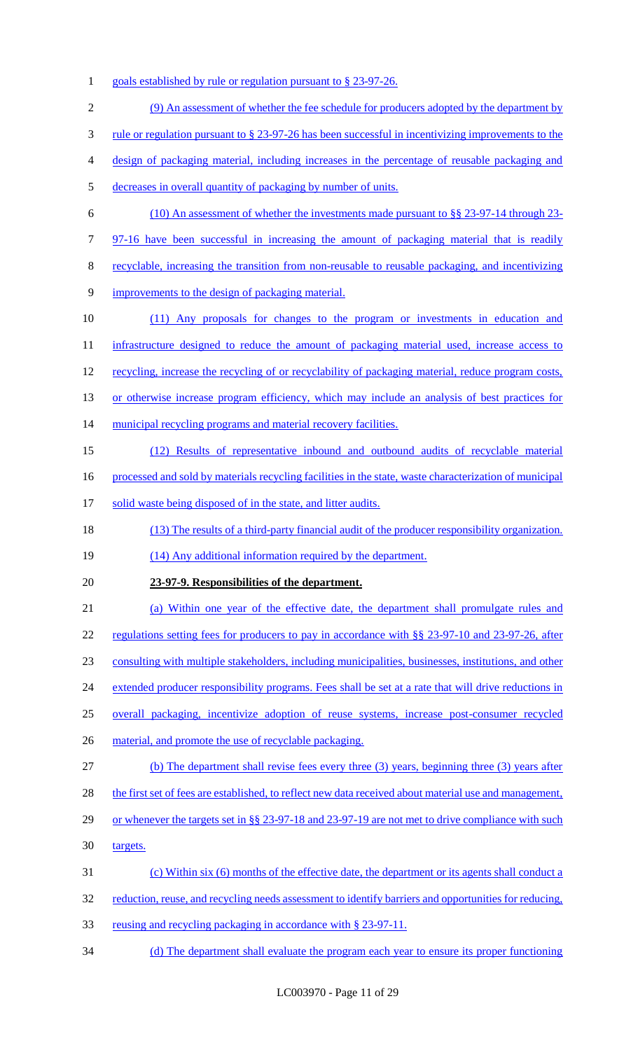1 goals established by rule or regulation pursuant to § 23-97-26.

| $\mathfrak{2}$ | (9) An assessment of whether the fee schedule for producers adopted by the department by                                |
|----------------|-------------------------------------------------------------------------------------------------------------------------|
| 3              | <u>rule or regulation pursuant to <math>\S</math> 23-97-26 has been successful in incentivizing improvements to the</u> |
| 4              | design of packaging material, including increases in the percentage of reusable packaging and                           |
| 5              | decreases in overall quantity of packaging by number of units.                                                          |
| 6              | $(10)$ An assessment of whether the investments made pursuant to §§ 23-97-14 through 23-                                |
| 7              | 97-16 have been successful in increasing the amount of packaging material that is readily                               |
| 8              | recyclable, increasing the transition from non-reusable to reusable packaging, and incentivizing                        |
| 9              | improvements to the design of packaging material.                                                                       |
| 10             | (11) Any proposals for changes to the program or investments in education and                                           |
| 11             | infrastructure designed to reduce the amount of packaging material used, increase access to                             |
| 12             | recycling, increase the recycling of or recyclability of packaging material, reduce program costs,                      |
| 13             | or otherwise increase program efficiency, which may include an analysis of best practices for                           |
| 14             | municipal recycling programs and material recovery facilities.                                                          |
| 15             | (12) Results of representative inbound and outbound audits of recyclable material                                       |
| 16             | processed and sold by materials recycling facilities in the state, waste characterization of municipal                  |
| 17             | solid waste being disposed of in the state, and litter audits.                                                          |
| 18             | (13) The results of a third-party financial audit of the producer responsibility organization.                          |
| 19             | (14) Any additional information required by the department.                                                             |
| 20             | 23-97-9. Responsibilities of the department.                                                                            |
| 21             | (a) Within one year of the effective date, the department shall promulgate rules and                                    |
| 22             | regulations setting fees for producers to pay in accordance with §§ 23-97-10 and 23-97-26, after                        |
| 23             | consulting with multiple stakeholders, including municipalities, businesses, institutions, and other                    |
| 24             | extended producer responsibility programs. Fees shall be set at a rate that will drive reductions in                    |
| 25             | overall packaging, incentivize adoption of reuse systems, increase post-consumer recycled                               |
| 26             | material, and promote the use of recyclable packaging.                                                                  |
| 27             | (b) The department shall revise fees every three (3) years, beginning three (3) years after                             |
| 28             | the first set of fees are established, to reflect new data received about material use and management,                  |
| 29             | or whenever the targets set in §§ 23-97-18 and 23-97-19 are not met to drive compliance with such                       |
| 30             | targets.                                                                                                                |
| 31             | (c) Within six (6) months of the effective date, the department or its agents shall conduct a                           |
| 32             | reduction, reuse, and recycling needs assessment to identify barriers and opportunities for reducing,                   |
| 33             | <u>reusing and recycling packaging in accordance with § 23-97-11.</u>                                                   |
| 34             | (d) The department shall evaluate the program each year to ensure its proper functioning                                |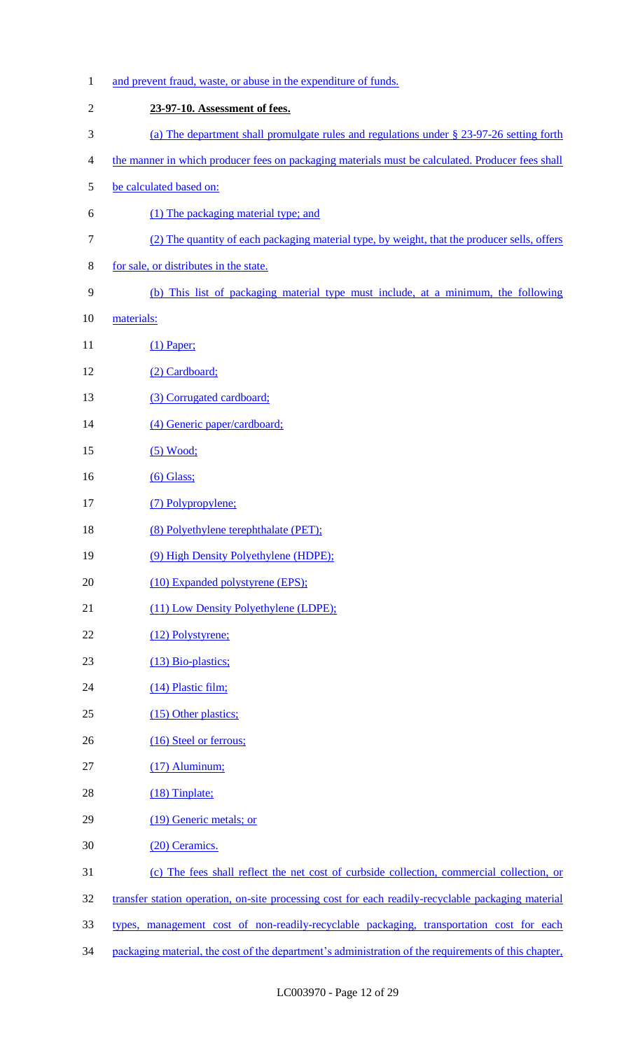| $\mathbf{1}$     | and prevent fraud, waste, or abuse in the expenditure of funds.                                      |
|------------------|------------------------------------------------------------------------------------------------------|
| $\mathfrak{2}$   | 23-97-10. Assessment of fees.                                                                        |
| 3                | (a) The department shall promulgate rules and regulations under § 23-97-26 setting forth             |
| 4                | the manner in which producer fees on packaging materials must be calculated. Producer fees shall     |
| 5                | be calculated based on:                                                                              |
| 6                | (1) The packaging material type; and                                                                 |
| $\boldsymbol{7}$ | (2) The quantity of each packaging material type, by weight, that the producer sells, offers         |
| 8                | for sale, or distributes in the state.                                                               |
| 9                | (b) This list of packaging material type must include, at a minimum, the following                   |
| 10               | materials:                                                                                           |
| 11               | $(1)$ Paper;                                                                                         |
| 12               | (2) Cardboard;                                                                                       |
| 13               | (3) Corrugated cardboard;                                                                            |
| 14               | (4) Generic paper/cardboard;                                                                         |
| 15               | $(5)$ Wood;                                                                                          |
| 16               | $(6)$ Glass;                                                                                         |
| 17               | (7) Polypropylene;                                                                                   |
| 18               | (8) Polyethylene terephthalate (PET);                                                                |
| 19               | (9) High Density Polyethylene (HDPE);                                                                |
| 20               | (10) Expanded polystyrene (EPS);                                                                     |
| 21               | (11) Low Density Polyethylene (LDPE);                                                                |
| 22               | (12) Polystyrene;                                                                                    |
| 23               | (13) Bio-plastics;                                                                                   |
| 24               | (14) Plastic film;                                                                                   |
| 25               | (15) Other plastics;                                                                                 |
| 26               | (16) Steel or ferrous;                                                                               |
| 27               | $(17)$ Aluminum;                                                                                     |
| 28               | $(18)$ Tinplate;                                                                                     |
| 29               | (19) Generic metals; or                                                                              |
| 30               | (20) Ceramics.                                                                                       |
| 31               | (c) The fees shall reflect the net cost of curbside collection, commercial collection, or            |
| 32               | transfer station operation, on-site processing cost for each readily-recyclable packaging material   |
| 33               | types, management cost of non-readily-recyclable packaging, transportation cost for each             |
| 34               | packaging material, the cost of the department's administration of the requirements of this chapter, |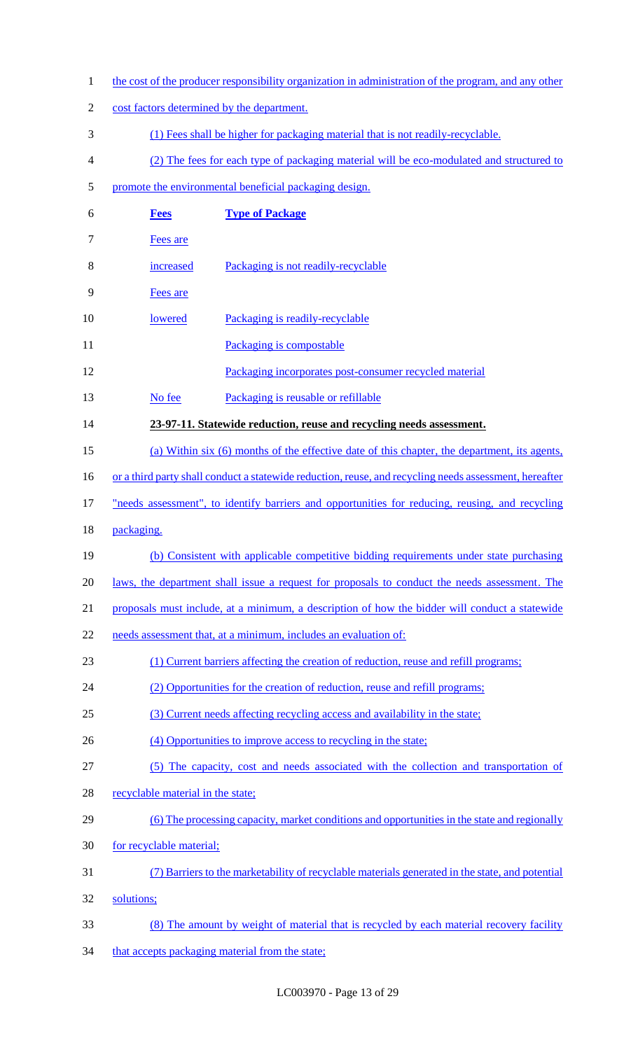1 the cost of the producer responsibility organization in administration of the program, and any other 2 cost factors determined by the department. 3 (1) Fees shall be higher for packaging material that is not readily-recyclable. 4 (2) The fees for each type of packaging material will be eco-modulated and structured to 5 promote the environmental beneficial packaging design. 6 **Fees Type of Package** 7 Fees are 8 increased Packaging is not readily-recyclable 9 Fees are 10 lowered Packaging is readily-recyclable 11 Packaging is compostable 12 Packaging incorporates post-consumer recycled material 13 No fee Packaging is reusable or refillable 14 **23-97-11. Statewide reduction, reuse and recycling needs assessment.**  15 (a) Within six (6) months of the effective date of this chapter, the department, its agents, 16 or a third party shall conduct a statewide reduction, reuse, and recycling needs assessment, hereafter 17 "needs assessment", to identify barriers and opportunities for reducing, reusing, and recycling 18 packaging. 19 (b) Consistent with applicable competitive bidding requirements under state purchasing 20 laws, the department shall issue a request for proposals to conduct the needs assessment. The 21 proposals must include, at a minimum, a description of how the bidder will conduct a statewide 22 needs assessment that, at a minimum, includes an evaluation of: 23 (1) Current barriers affecting the creation of reduction, reuse and refill programs; 24 (2) Opportunities for the creation of reduction, reuse and refill programs; 25 (3) Current needs affecting recycling access and availability in the state; 26 (4) Opportunities to improve access to recycling in the state; 27 (5) The capacity, cost and needs associated with the collection and transportation of 28 recyclable material in the state; 29 (6) The processing capacity, market conditions and opportunities in the state and regionally 30 for recyclable material; 31 (7) Barriers to the marketability of recyclable materials generated in the state, and potential 32 solutions; 33 (8) The amount by weight of material that is recycled by each material recovery facility 34 that accepts packaging material from the state;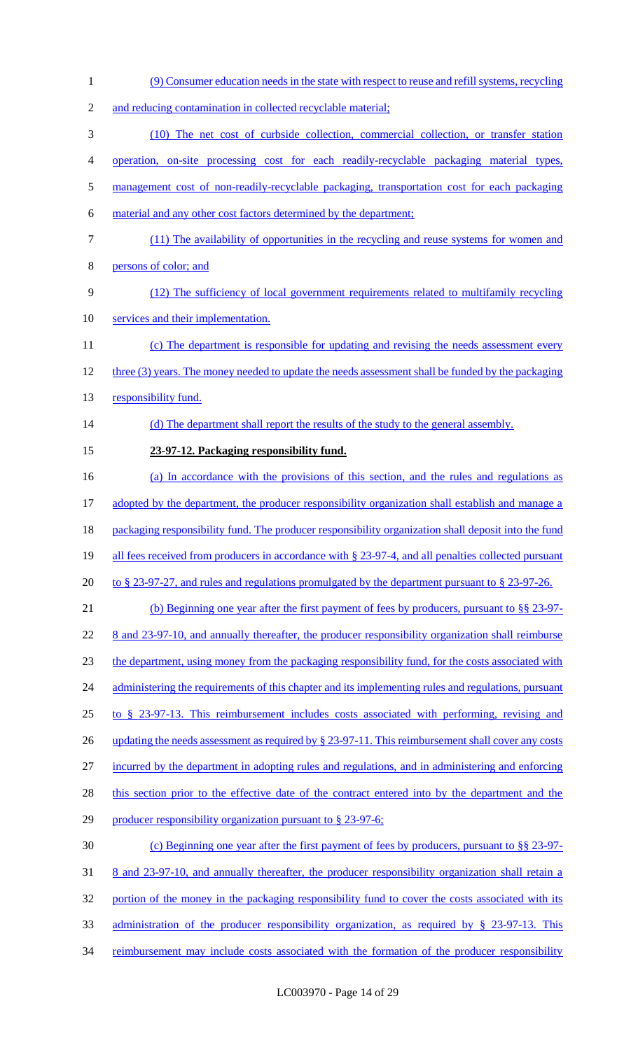1 (9) Consumer education needs in the state with respect to reuse and refill systems, recycling 2 and reducing contamination in collected recyclable material; 3 (10) The net cost of curbside collection, commercial collection, or transfer station 4 operation, on-site processing cost for each readily-recyclable packaging material types, 5 management cost of non-readily-recyclable packaging, transportation cost for each packaging 6 material and any other cost factors determined by the department; 7 (11) The availability of opportunities in the recycling and reuse systems for women and 8 persons of color; and 9 (12) The sufficiency of local government requirements related to multifamily recycling 10 services and their implementation. 11 (c) The department is responsible for updating and revising the needs assessment every 12 three (3) years. The money needed to update the needs assessment shall be funded by the packaging 13 responsibility fund. 14 (d) The department shall report the results of the study to the general assembly. 15 **23-97-12. Packaging responsibility fund.**  16 (a) In accordance with the provisions of this section, and the rules and regulations as 17 adopted by the department, the producer responsibility organization shall establish and manage a 18 packaging responsibility fund. The producer responsibility organization shall deposit into the fund 19 all fees received from producers in accordance with § 23-97-4, and all penalties collected pursuant 20 to § 23-97-27, and rules and regulations promulgated by the department pursuant to § 23-97-26. 21 (b) Beginning one year after the first payment of fees by producers, pursuant to §§ 23-97- 22 8 and 23-97-10, and annually thereafter, the producer responsibility organization shall reimburse 23 the department, using money from the packaging responsibility fund, for the costs associated with 24 administering the requirements of this chapter and its implementing rules and regulations, pursuant 25 to § 23-97-13. This reimbursement includes costs associated with performing, revising and 26 updating the needs assessment as required by § 23-97-11. This reimbursement shall cover any costs 27 incurred by the department in adopting rules and regulations, and in administering and enforcing 28 this section prior to the effective date of the contract entered into by the department and the 29 producer responsibility organization pursuant to § 23-97-6; 30 (c) Beginning one year after the first payment of fees by producers, pursuant to §§ 23-97- 31 8 and 23-97-10, and annually thereafter, the producer responsibility organization shall retain a 32 portion of the money in the packaging responsibility fund to cover the costs associated with its 33 administration of the producer responsibility organization, as required by § 23-97-13. This 34 reimbursement may include costs associated with the formation of the producer responsibility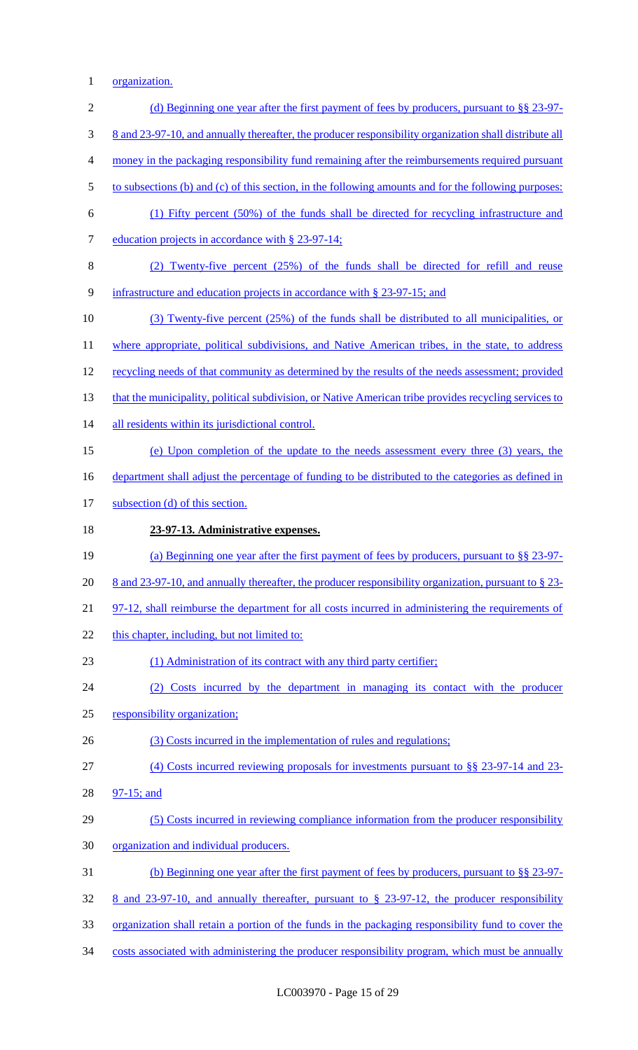1 organization.

| $\mathbf{2}$     | (d) Beginning one year after the first payment of fees by producers, pursuant to $\S$ 23-97-           |
|------------------|--------------------------------------------------------------------------------------------------------|
| 3                | 8 and 23-97-10, and annually thereafter, the producer responsibility organization shall distribute all |
| $\overline{4}$   | money in the packaging responsibility fund remaining after the reimbursements required pursuant        |
| 5                | to subsections (b) and (c) of this section, in the following amounts and for the following purposes:   |
| 6                | (1) Fifty percent (50%) of the funds shall be directed for recycling infrastructure and                |
| $\boldsymbol{7}$ | education projects in accordance with § 23-97-14;                                                      |
| $8\,$            | (2) Twenty-five percent (25%) of the funds shall be directed for refill and reuse                      |
| $\mathbf{9}$     | infrastructure and education projects in accordance with § 23-97-15; and                               |
| 10               | $(3)$ Twenty-five percent $(25%)$ of the funds shall be distributed to all municipalities, or          |
| 11               | where appropriate, political subdivisions, and Native American tribes, in the state, to address        |
| 12               | recycling needs of that community as determined by the results of the needs assessment; provided       |
| 13               | that the municipality, political subdivision, or Native American tribe provides recycling services to  |
| 14               | all residents within its jurisdictional control.                                                       |
| 15               | (e) Upon completion of the update to the needs assessment every three (3) years, the                   |
| 16               | department shall adjust the percentage of funding to be distributed to the categories as defined in    |
| 17               | subsection (d) of this section.                                                                        |
| 18               | 23-97-13. Administrative expenses.                                                                     |
| 19               | (a) Beginning one year after the first payment of fees by producers, pursuant to $\S$ 23-97-           |
| 20               | 8 and 23-97-10, and annually thereafter, the producer responsibility organization, pursuant to § 23-   |
| 21               | 97-12, shall reimburse the department for all costs incurred in administering the requirements of      |
| 22               | this chapter, including, but not limited to:                                                           |
| 23               | (1) Administration of its contract with any third party certifier;                                     |
| 24               | (2) Costs incurred by the department in managing its contact with the producer                         |
| 25               | responsibility organization;                                                                           |
| 26               | (3) Costs incurred in the implementation of rules and regulations;                                     |
| 27               | (4) Costs incurred reviewing proposals for investments pursuant to $\S$ § 23-97-14 and 23-             |
| 28               | $97-15$ ; and                                                                                          |
| 29               | (5) Costs incurred in reviewing compliance information from the producer responsibility                |
| 30               | organization and individual producers.                                                                 |
| 31               | <u>(b) Beginning one year after the first payment of fees by producers, pursuant to §§ 23-97-</u>      |
| 32               | 8 and 23-97-10, and annually thereafter, pursuant to $\S$ 23-97-12, the producer responsibility        |
| 33               | organization shall retain a portion of the funds in the packaging responsibility fund to cover the     |
| 34               | costs associated with administering the producer responsibility program, which must be annually        |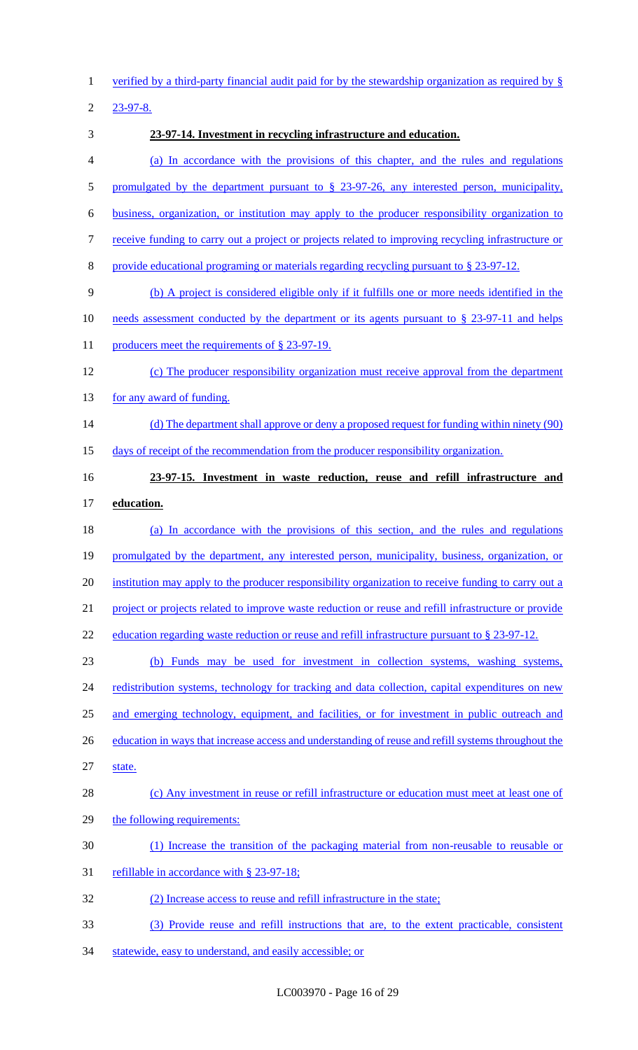verified by a third-party financial audit paid for by the stewardship organization as required by §

23-97-8.

 **23-97-14. Investment in recycling infrastructure and education.**  (a) In accordance with the provisions of this chapter, and the rules and regulations 5 promulgated by the department pursuant to § 23-97-26, any interested person, municipality, business, organization, or institution may apply to the producer responsibility organization to receive funding to carry out a project or projects related to improving recycling infrastructure or provide educational programing or materials regarding recycling pursuant to § 23-97-12. (b) A project is considered eligible only if it fulfills one or more needs identified in the 10 needs assessment conducted by the department or its agents pursuant to § 23-97-11 and helps 11 producers meet the requirements of § 23-97-19. (c) The producer responsibility organization must receive approval from the department 13 for any award of funding. 14 (d) The department shall approve or deny a proposed request for funding within ninety (90) days of receipt of the recommendation from the producer responsibility organization. **23-97-15. Investment in waste reduction, reuse and refill infrastructure and education.**  (a) In accordance with the provisions of this section, and the rules and regulations 19 promulgated by the department, any interested person, municipality, business, organization, or 20 institution may apply to the producer responsibility organization to receive funding to carry out a project or projects related to improve waste reduction or reuse and refill infrastructure or provide 22 education regarding waste reduction or reuse and refill infrastructure pursuant to § 23-97-12. (b) Funds may be used for investment in collection systems, washing systems, 24 redistribution systems, technology for tracking and data collection, capital expenditures on new 25 and emerging technology, equipment, and facilities, or for investment in public outreach and 26 education in ways that increase access and understanding of reuse and refill systems throughout the state. (c) Any investment in reuse or refill infrastructure or education must meet at least one of 29 the following requirements: (1) Increase the transition of the packaging material from non-reusable to reusable or refillable in accordance with § 23-97-18; (2) Increase access to reuse and refill infrastructure in the state; (3) Provide reuse and refill instructions that are, to the extent practicable, consistent

statewide, easy to understand, and easily accessible; or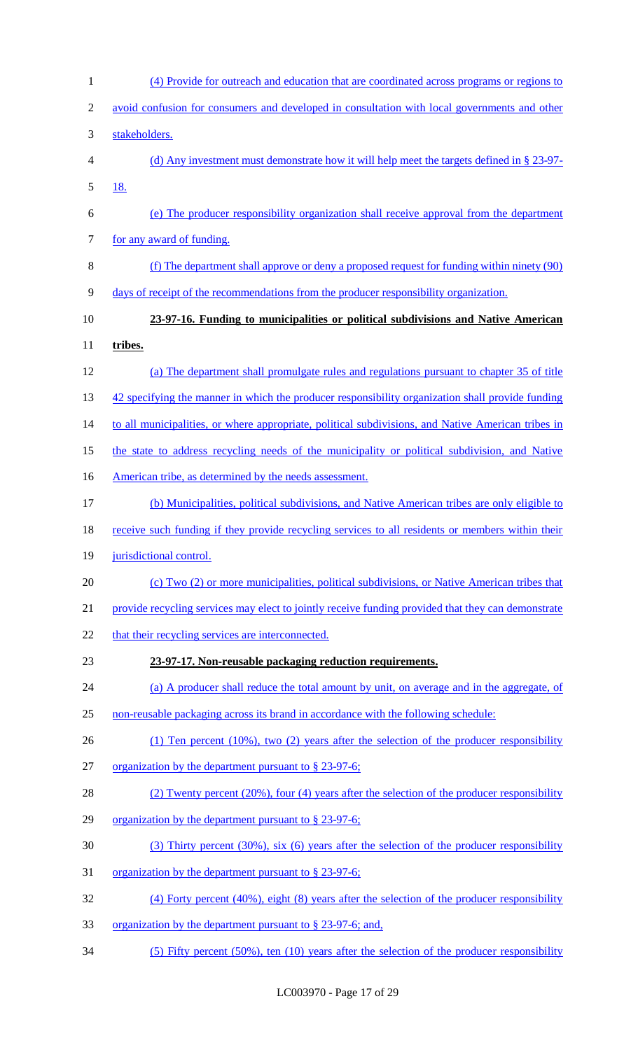| $\mathbf{1}$   | (4) Provide for outreach and education that are coordinated across programs or regions to          |
|----------------|----------------------------------------------------------------------------------------------------|
| $\mathbf{2}$   | avoid confusion for consumers and developed in consultation with local governments and other       |
| 3              | stakeholders.                                                                                      |
| $\overline{4}$ | (d) Any investment must demonstrate how it will help meet the targets defined in $\S 23-97$ .      |
| 5              | <u>18.</u>                                                                                         |
| 6              | (e) The producer responsibility organization shall receive approval from the department            |
| $\tau$         | for any award of funding.                                                                          |
| $\,8\,$        | (f) The department shall approve or deny a proposed request for funding within ninety (90)         |
| 9              | days of receipt of the recommendations from the producer responsibility organization.              |
| 10             | 23-97-16. Funding to municipalities or political subdivisions and Native American                  |
| 11             | tribes.                                                                                            |
| 12             | (a) The department shall promulgate rules and regulations pursuant to chapter 35 of title          |
| 13             | 42 specifying the manner in which the producer responsibility organization shall provide funding   |
| 14             | to all municipalities, or where appropriate, political subdivisions, and Native American tribes in |
| 15             | the state to address recycling needs of the municipality or political subdivision, and Native      |
| 16             | American tribe, as determined by the needs assessment.                                             |
| 17             | (b) Municipalities, political subdivisions, and Native American tribes are only eligible to        |
| 18             | receive such funding if they provide recycling services to all residents or members within their   |
| 19             | jurisdictional control.                                                                            |
| 20             | (c) Two (2) or more municipalities, political subdivisions, or Native American tribes that         |
| 21             | provide recycling services may elect to jointly receive funding provided that they can demonstrate |
| 22             | that their recycling services are interconnected.                                                  |
| 23             | 23-97-17. Non-reusable packaging reduction requirements.                                           |
| 24             | (a) A producer shall reduce the total amount by unit, on average and in the aggregate, of          |
| 25             | non-reusable packaging across its brand in accordance with the following schedule:                 |
| 26             | $(1)$ Ten percent $(10\%)$ , two $(2)$ years after the selection of the producer responsibility    |
| 27             | organization by the department pursuant to § 23-97-6;                                              |
| 28             | (2) Twenty percent (20%), four (4) years after the selection of the producer responsibility        |
| 29             | organization by the department pursuant to § 23-97-6;                                              |
| 30             | $(3)$ Thirty percent $(30\%)$ , six $(6)$ years after the selection of the producer responsibility |
| 31             | <u>organization by the department pursuant to § 23-97-6;</u>                                       |
| 32             | $(4)$ Forty percent (40%), eight (8) years after the selection of the producer responsibility      |
| 33             | <u>organization by the department pursuant to § 23-97-6; and,</u>                                  |
| 34             | $(5)$ Fifty percent $(50\%)$ , ten $(10)$ years after the selection of the producer responsibility |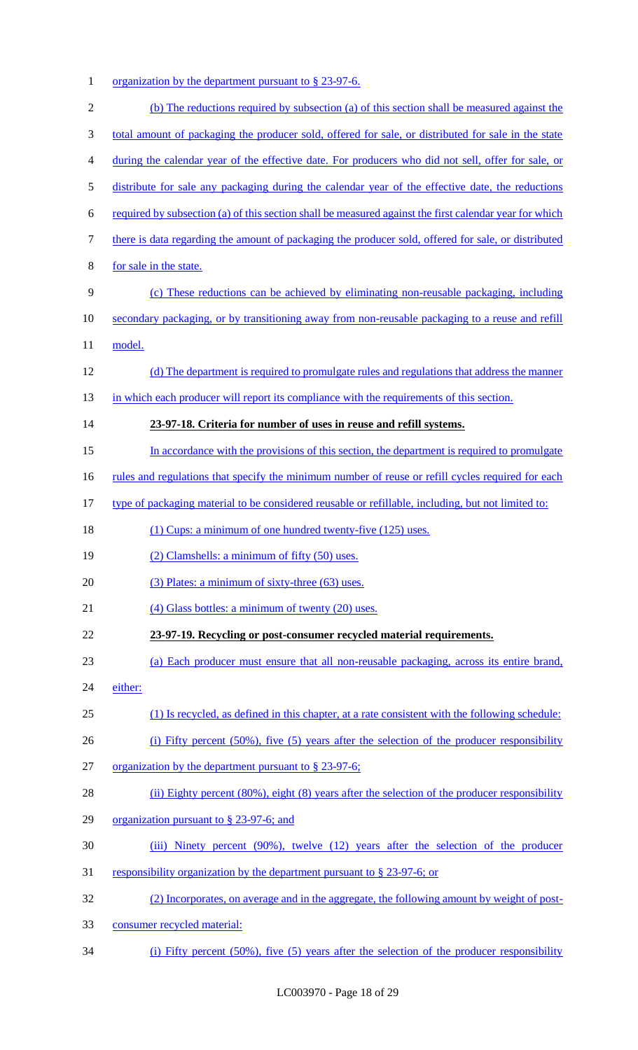1 organization by the department pursuant to § 23-97-6.

| $\overline{2}$ | (b) The reductions required by subsection (a) of this section shall be measured against the              |
|----------------|----------------------------------------------------------------------------------------------------------|
| 3              | total amount of packaging the producer sold, offered for sale, or distributed for sale in the state      |
| 4              | during the calendar year of the effective date. For producers who did not sell, offer for sale, or       |
| 5              | distribute for sale any packaging during the calendar year of the effective date, the reductions         |
| 6              | required by subsection (a) of this section shall be measured against the first calendar year for which   |
| 7              | there is data regarding the amount of packaging the producer sold, offered for sale, or distributed      |
| 8              | for sale in the state.                                                                                   |
| 9              | (c) These reductions can be achieved by eliminating non-reusable packaging, including                    |
| 10             | secondary packaging, or by transitioning away from non-reusable packaging to a reuse and refill          |
| 11             | model.                                                                                                   |
| 12             | (d) The department is required to promulgate rules and regulations that address the manner               |
| 13             | in which each producer will report its compliance with the requirements of this section.                 |
| 14             | 23-97-18. Criteria for number of uses in reuse and refill systems.                                       |
| 15             | In accordance with the provisions of this section, the department is required to promulgate              |
| 16             | <u>rules and regulations that specify the minimum number of reuse or refill cycles required for each</u> |
| 17             | type of packaging material to be considered reusable or refillable, including, but not limited to:       |
| 18             | (1) Cups: a minimum of one hundred twenty-five (125) uses.                                               |
| 19             | (2) Clamshells: a minimum of fifty (50) uses.                                                            |
| 20             | (3) Plates: a minimum of sixty-three (63) uses.                                                          |
| 21             | $(4)$ Glass bottles: a minimum of twenty $(20)$ uses.                                                    |
| 22             | 23-97-19. Recycling or post-consumer recycled material requirements.                                     |
| 23             | (a) Each producer must ensure that all non-reusable packaging, across its entire brand,                  |
| 24             | either:                                                                                                  |
| 25             | (1) Is recycled, as defined in this chapter, at a rate consistent with the following schedule:           |
| 26             | (i) Fifty percent $(50\%)$ , five $(5)$ years after the selection of the producer responsibility         |
| 27             | organization by the department pursuant to § 23-97-6;                                                    |
| 28             | (ii) Eighty percent $(80\%)$ , eight $(8)$ years after the selection of the producer responsibility      |
| 29             | organization pursuant to $\S$ 23-97-6; and                                                               |
| 30             | (iii) Ninety percent (90%), twelve (12) years after the selection of the producer                        |
| 31             | responsibility organization by the department pursuant to § 23-97-6; or                                  |
| 32             | (2) Incorporates, on average and in the aggregate, the following amount by weight of post-               |
| 33             | consumer recycled material:                                                                              |

(i) Fifty percent (50%), five (5) years after the selection of the producer responsibility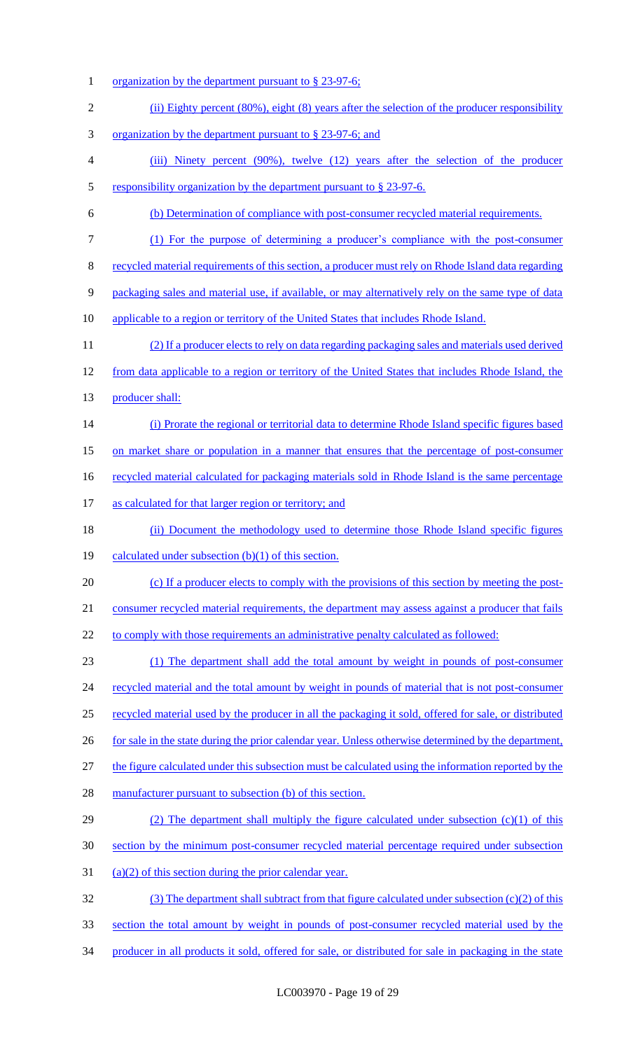1 organization by the department pursuant to § 23-97-6; 2 (ii) Eighty percent (80%), eight (8) years after the selection of the producer responsibility 3 organization by the department pursuant to § 23-97-6; and 4 (iii) Ninety percent (90%), twelve (12) years after the selection of the producer 5 responsibility organization by the department pursuant to § 23-97-6. 6 (b) Determination of compliance with post-consumer recycled material requirements. 7 (1) For the purpose of determining a producer's compliance with the post-consumer 8 recycled material requirements of this section, a producer must rely on Rhode Island data regarding 9 packaging sales and material use, if available, or may alternatively rely on the same type of data 10 applicable to a region or territory of the United States that includes Rhode Island. 11 (2) If a producer elects to rely on data regarding packaging sales and materials used derived 12 from data applicable to a region or territory of the United States that includes Rhode Island, the 13 producer shall: 14 (i) Prorate the regional or territorial data to determine Rhode Island specific figures based 15 on market share or population in a manner that ensures that the percentage of post-consumer 16 recycled material calculated for packaging materials sold in Rhode Island is the same percentage 17 as calculated for that larger region or territory; and 18 (ii) Document the methodology used to determine those Rhode Island specific figures 19 calculated under subsection (b)(1) of this section. 20 (c) If a producer elects to comply with the provisions of this section by meeting the post-21 consumer recycled material requirements, the department may assess against a producer that fails 22 to comply with those requirements an administrative penalty calculated as followed: 23 (1) The department shall add the total amount by weight in pounds of post-consumer 24 recycled material and the total amount by weight in pounds of material that is not post-consumer 25 recycled material used by the producer in all the packaging it sold, offered for sale, or distributed 26 for sale in the state during the prior calendar year. Unless otherwise determined by the department, 27 the figure calculated under this subsection must be calculated using the information reported by the 28 manufacturer pursuant to subsection (b) of this section. 29 (2) The department shall multiply the figure calculated under subsection (c)(1) of this 30 section by the minimum post-consumer recycled material percentage required under subsection 31 (a)(2) of this section during the prior calendar year. 32 (3) The department shall subtract from that figure calculated under subsection (c)(2) of this 33 section the total amount by weight in pounds of post-consumer recycled material used by the 34 producer in all products it sold, offered for sale, or distributed for sale in packaging in the state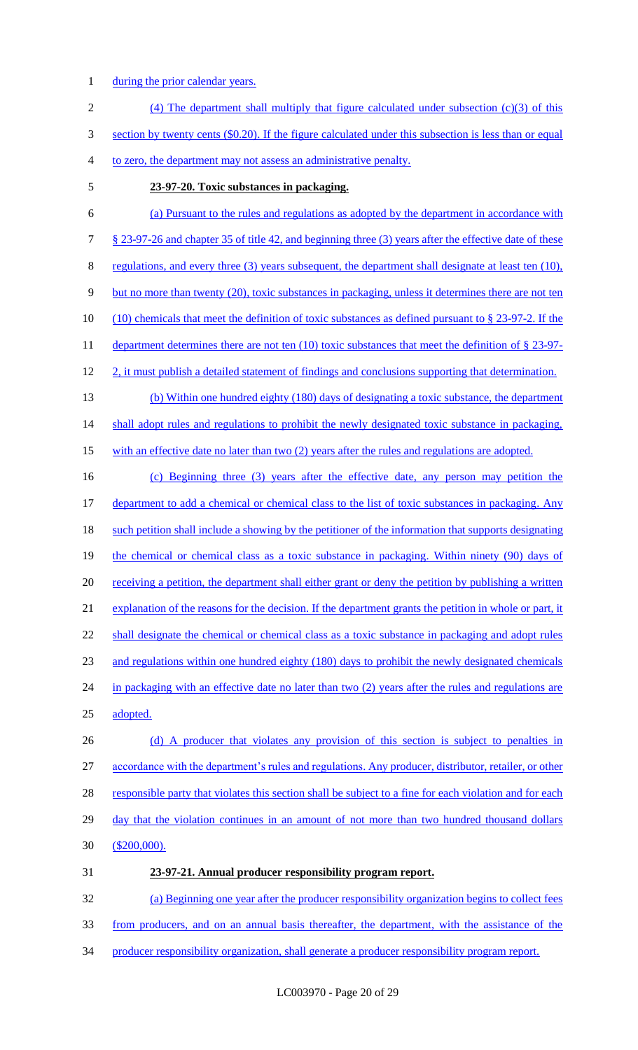- 1 during the prior calendar years.
- 2 (4) The department shall multiply that figure calculated under subsection (c)(3) of this 3 section by twenty cents (\$0.20). If the figure calculated under this subsection is less than or equal 4 to zero, the department may not assess an administrative penalty.
- 5 **23-97-20. Toxic substances in packaging.**
- 6 (a) Pursuant to the rules and regulations as adopted by the department in accordance with 7 § 23-97-26 and chapter 35 of title 42, and beginning three (3) years after the effective date of these 8 regulations, and every three (3) years subsequent, the department shall designate at least ten (10), 9 but no more than twenty (20), toxic substances in packaging, unless it determines there are not ten 10 (10) chemicals that meet the definition of toxic substances as defined pursuant to § 23-97-2. If the 11 department determines there are not ten (10) toxic substances that meet the definition of § 23-97-12 2, it must publish a detailed statement of findings and conclusions supporting that determination. 13 (b) Within one hundred eighty (180) days of designating a toxic substance, the department 14 shall adopt rules and regulations to prohibit the newly designated toxic substance in packaging,
- 15 with an effective date no later than two (2) years after the rules and regulations are adopted.
- 16 (c) Beginning three (3) years after the effective date, any person may petition the 17 department to add a chemical or chemical class to the list of toxic substances in packaging. Any 18 such petition shall include a showing by the petitioner of the information that supports designating 19 the chemical or chemical class as a toxic substance in packaging. Within ninety (90) days of 20 receiving a petition, the department shall either grant or deny the petition by publishing a written 21 explanation of the reasons for the decision. If the department grants the petition in whole or part, it 22 shall designate the chemical or chemical class as a toxic substance in packaging and adopt rules 23 and regulations within one hundred eighty (180) days to prohibit the newly designated chemicals 24 in packaging with an effective date no later than two (2) years after the rules and regulations are 25 adopted.
- 26 (d) A producer that violates any provision of this section is subject to penalties in 27 accordance with the department's rules and regulations. Any producer, distributor, retailer, or other 28 responsible party that violates this section shall be subject to a fine for each violation and for each 29 day that the violation continues in an amount of not more than two hundred thousand dollars 30 (\$200,000).
- 31 **23-97-21. Annual producer responsibility program report.**

32 (a) Beginning one year after the producer responsibility organization begins to collect fees 33 from producers, and on an annual basis thereafter, the department, with the assistance of the 34 producer responsibility organization, shall generate a producer responsibility program report.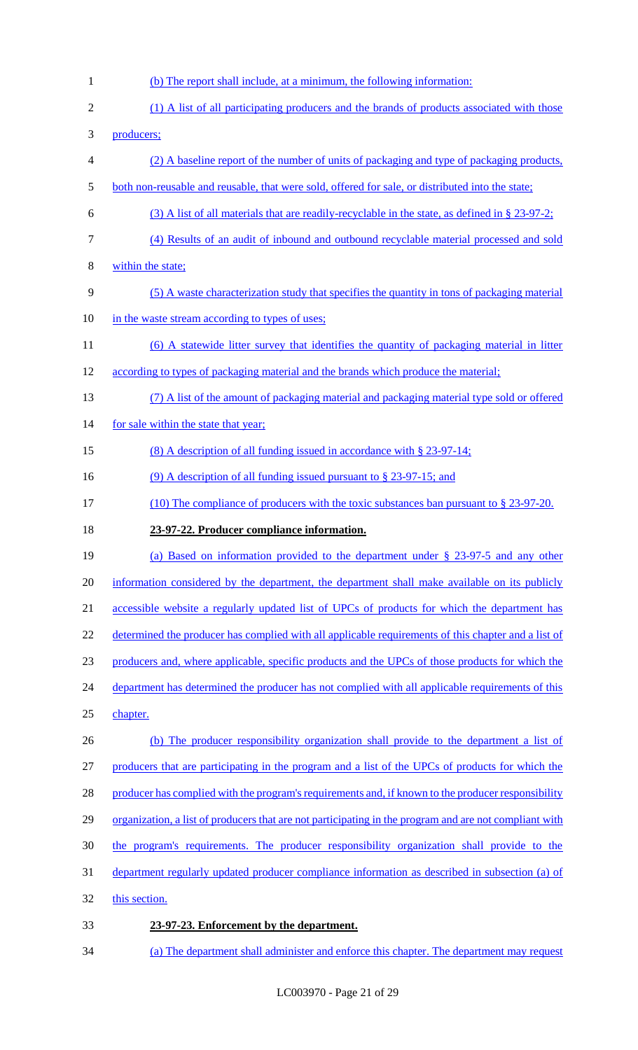1 (b) The report shall include, at a minimum, the following information: 2 (1) A list of all participating producers and the brands of products associated with those 3 producers; 4 (2) A baseline report of the number of units of packaging and type of packaging products, 5 both non-reusable and reusable, that were sold, offered for sale, or distributed into the state; 6 (3) A list of all materials that are readily-recyclable in the state, as defined in § 23-97-2; 7 (4) Results of an audit of inbound and outbound recyclable material processed and sold 8 within the state; 9 (5) A waste characterization study that specifies the quantity in tons of packaging material 10 in the waste stream according to types of uses; 11 (6) A statewide litter survey that identifies the quantity of packaging material in litter 12 according to types of packaging material and the brands which produce the material; 13 (7) A list of the amount of packaging material and packaging material type sold or offered 14 for sale within the state that year; 15 (8) A description of all funding issued in accordance with § 23-97-14; 16 (9) A description of all funding issued pursuant to § 23-97-15; and 17 (10) The compliance of producers with the toxic substances ban pursuant to § 23-97-20. 18 **23-97-22. Producer compliance information.**  19 (a) Based on information provided to the department under § 23-97-5 and any other 20 information considered by the department, the department shall make available on its publicly 21 accessible website a regularly updated list of UPCs of products for which the department has 22 determined the producer has complied with all applicable requirements of this chapter and a list of 23 producers and, where applicable, specific products and the UPCs of those products for which the 24 department has determined the producer has not complied with all applicable requirements of this 25 chapter. 26 (b) The producer responsibility organization shall provide to the department a list of 27 producers that are participating in the program and a list of the UPCs of products for which the 28 producer has complied with the program's requirements and, if known to the producer responsibility 29 organization, a list of producers that are not participating in the program and are not compliant with 30 the program's requirements. The producer responsibility organization shall provide to the 31 department regularly updated producer compliance information as described in subsection (a) of 32 this section. 33 **23-97-23. Enforcement by the department.**  34 (a) The department shall administer and enforce this chapter. The department may request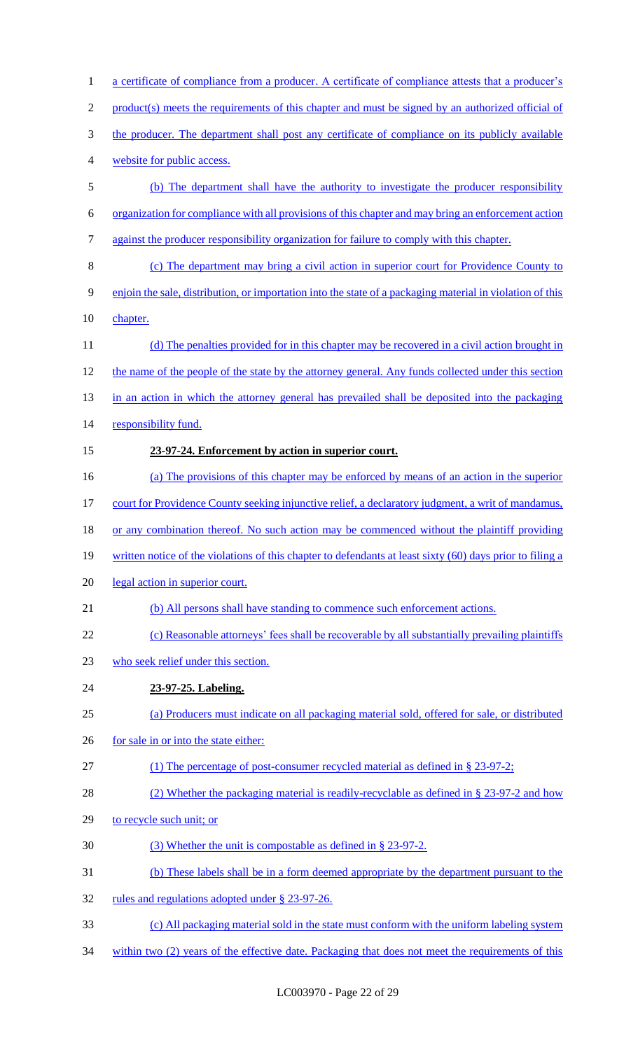| 1              | a certificate of compliance from a producer. A certificate of compliance attests that a producer's        |
|----------------|-----------------------------------------------------------------------------------------------------------|
| $\overline{2}$ | product(s) meets the requirements of this chapter and must be signed by an authorized official of         |
| 3              | the producer. The department shall post any certificate of compliance on its publicly available           |
| 4              | website for public access.                                                                                |
| 5              | (b) The department shall have the authority to investigate the producer responsibility                    |
| 6              | organization for compliance with all provisions of this chapter and may bring an enforcement action       |
| 7              | against the producer responsibility organization for failure to comply with this chapter.                 |
| 8              | (c) The department may bring a civil action in superior court for Providence County to                    |
| 9              | enjoin the sale, distribution, or importation into the state of a packaging material in violation of this |
| 10             | chapter.                                                                                                  |
| 11             | (d) The penalties provided for in this chapter may be recovered in a civil action brought in              |
| 12             | the name of the people of the state by the attorney general. Any funds collected under this section       |
| 13             | in an action in which the attorney general has prevailed shall be deposited into the packaging            |
| 14             | responsibility fund.                                                                                      |
| 15             | 23-97-24. Enforcement by action in superior court.                                                        |
| 16             | (a) The provisions of this chapter may be enforced by means of an action in the superior                  |
| 17             | court for Providence County seeking injunctive relief, a declaratory judgment, a writ of mandamus,        |
| 18             | or any combination thereof. No such action may be commenced without the plaintiff providing               |
| 19             | written notice of the violations of this chapter to defendants at least sixty (60) days prior to filing a |
| 20             | legal action in superior court.                                                                           |
| 21             | (b) All persons shall have standing to commence such enforcement actions.                                 |
| 22             | (c) Reasonable attorneys' fees shall be recoverable by all substantially prevailing plaintiffs            |
| 23             | who seek relief under this section.                                                                       |
| 24             | 23-97-25. Labeling.                                                                                       |
| 25             | (a) Producers must indicate on all packaging material sold, offered for sale, or distributed              |
| 26             | for sale in or into the state either:                                                                     |
| 27             | (1) The percentage of post-consumer recycled material as defined in $\S 23-97-2$ ;                        |
| 28             | (2) Whether the packaging material is readily-recyclable as defined in § 23-97-2 and how                  |
| 29             | to recycle such unit; or                                                                                  |
| 30             | (3) Whether the unit is compostable as defined in § 23-97-2.                                              |
| 31             | (b) These labels shall be in a form deemed appropriate by the department pursuant to the                  |
| 32             | rules and regulations adopted under § 23-97-26.                                                           |
| 33             | (c) All packaging material sold in the state must conform with the uniform labeling system                |
| 34             | within two (2) years of the effective date. Packaging that does not meet the requirements of this         |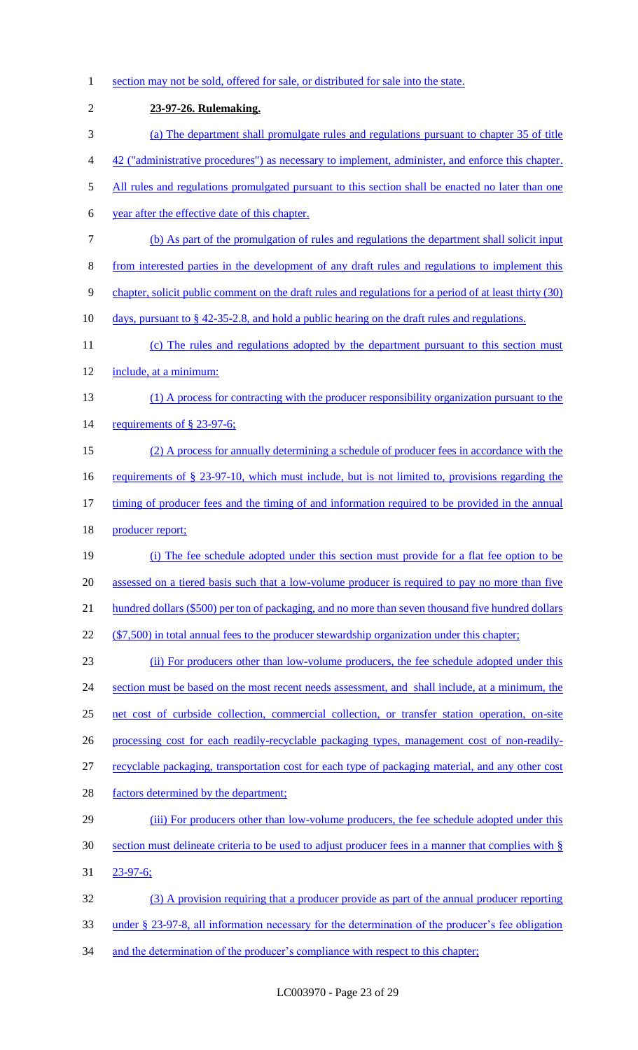1 section may not be sold, offered for sale, or distributed for sale into the state. 2 **23-97-26. Rulemaking.**  3 (a) The department shall promulgate rules and regulations pursuant to chapter 35 of title 4 42 ("administrative procedures") as necessary to implement, administer, and enforce this chapter. 5 All rules and regulations promulgated pursuant to this section shall be enacted no later than one 6 year after the effective date of this chapter. 7 (b) As part of the promulgation of rules and regulations the department shall solicit input 8 from interested parties in the development of any draft rules and regulations to implement this 9 chapter, solicit public comment on the draft rules and regulations for a period of at least thirty (30) 10 days, pursuant to § 42-35-2.8, and hold a public hearing on the draft rules and regulations. 11 (c) The rules and regulations adopted by the department pursuant to this section must 12 include, at a minimum: 13 (1) A process for contracting with the producer responsibility organization pursuant to the 14 requirements of § 23-97-6; 15 (2) A process for annually determining a schedule of producer fees in accordance with the 16 requirements of § 23-97-10, which must include, but is not limited to, provisions regarding the 17 timing of producer fees and the timing of and information required to be provided in the annual 18 producer report; 19 (i) The fee schedule adopted under this section must provide for a flat fee option to be 20 assessed on a tiered basis such that a low-volume producer is required to pay no more than five 21 hundred dollars (\$500) per ton of packaging, and no more than seven thousand five hundred dollars 22 (\$7,500) in total annual fees to the producer stewardship organization under this chapter; 23 (ii) For producers other than low-volume producers, the fee schedule adopted under this 24 section must be based on the most recent needs assessment, and shall include, at a minimum, the 25 net cost of curbside collection, commercial collection, or transfer station operation, on-site 26 processing cost for each readily-recyclable packaging types, management cost of non-readily-27 recyclable packaging, transportation cost for each type of packaging material, and any other cost 28 factors determined by the department; 29 (iii) For producers other than low-volume producers, the fee schedule adopted under this 30 section must delineate criteria to be used to adjust producer fees in a manner that complies with § 31 23-97-6; 32 (3) A provision requiring that a producer provide as part of the annual producer reporting 33 under § 23-97-8, all information necessary for the determination of the producer's fee obligation 34 and the determination of the producer's compliance with respect to this chapter;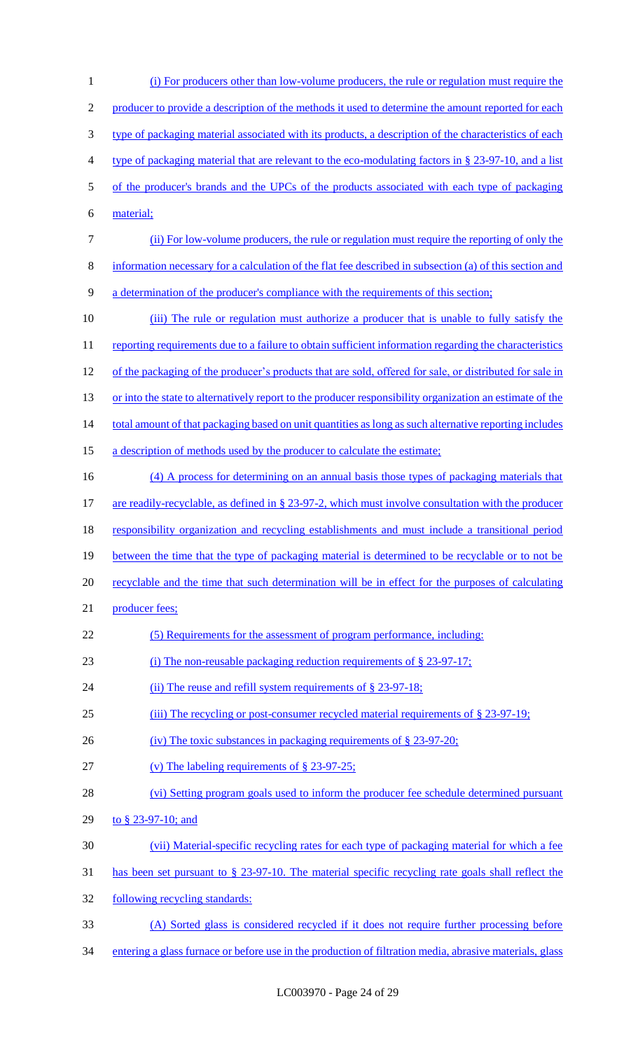(i) For producers other than low-volume producers, the rule or regulation must require the 2 producer to provide a description of the methods it used to determine the amount reported for each type of packaging material associated with its products, a description of the characteristics of each type of packaging material that are relevant to the eco-modulating factors in § 23-97-10, and a list of the producer's brands and the UPCs of the products associated with each type of packaging material; (ii) For low-volume producers, the rule or regulation must require the reporting of only the information necessary for a calculation of the flat fee described in subsection (a) of this section and a determination of the producer's compliance with the requirements of this section; 10 (iii) The rule or regulation must authorize a producer that is unable to fully satisfy the 11 reporting requirements due to a failure to obtain sufficient information regarding the characteristics 12 of the packaging of the producer's products that are sold, offered for sale, or distributed for sale in 13 or into the state to alternatively report to the producer responsibility organization an estimate of the 14 total amount of that packaging based on unit quantities as long as such alternative reporting includes 15 a description of methods used by the producer to calculate the estimate; 16 (4) A process for determining on an annual basis those types of packaging materials that 17 are readily-recyclable, as defined in § 23-97-2, which must involve consultation with the producer responsibility organization and recycling establishments and must include a transitional period 19 between the time that the type of packaging material is determined to be recyclable or to not be recyclable and the time that such determination will be in effect for the purposes of calculating 21 producer fees; (5) Requirements for the assessment of program performance, including: (i) The non-reusable packaging reduction requirements of § 23-97-17; 24 (ii) The reuse and refill system requirements of § 23-97-18; (iii) The recycling or post-consumer recycled material requirements of § 23-97-19; 26 (iv) The toxic substances in packaging requirements of § 23-97-20; (v) The labeling requirements of § 23-97-25; (vi) Setting program goals used to inform the producer fee schedule determined pursuant to § 23-97-10; and (vii) Material-specific recycling rates for each type of packaging material for which a fee has been set pursuant to § 23-97-10. The material specific recycling rate goals shall reflect the following recycling standards: (A) Sorted glass is considered recycled if it does not require further processing before entering a glass furnace or before use in the production of filtration media, abrasive materials, glass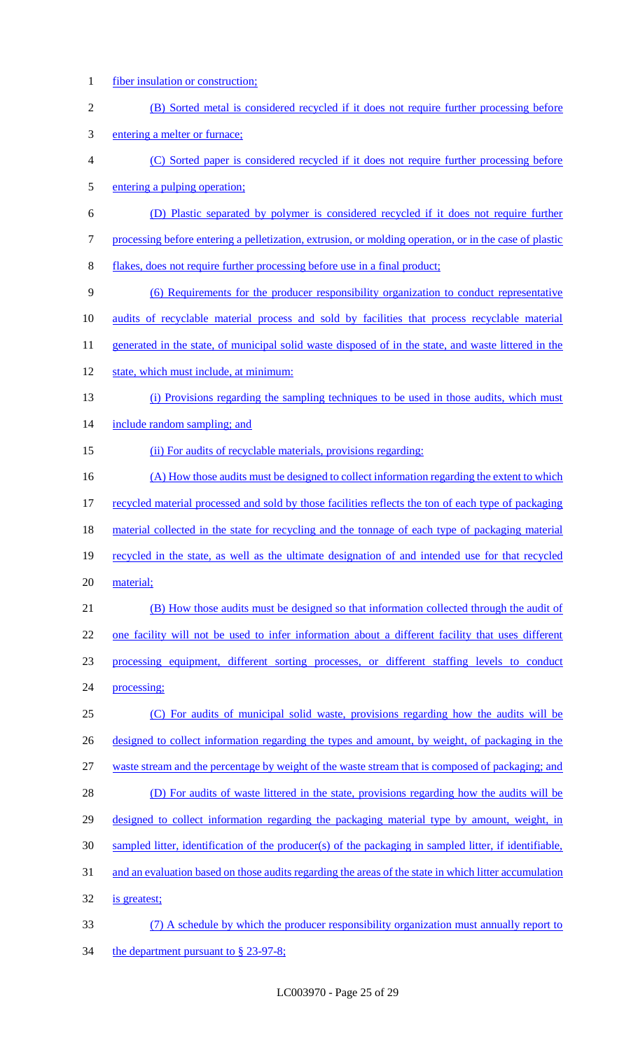- fiber insulation or construction;
- (B) Sorted metal is considered recycled if it does not require further processing before
- entering a melter or furnace;
- (C) Sorted paper is considered recycled if it does not require further processing before entering a pulping operation;
- (D) Plastic separated by polymer is considered recycled if it does not require further
- processing before entering a pelletization, extrusion, or molding operation, or in the case of plastic
- flakes, does not require further processing before use in a final product;
- (6) Requirements for the producer responsibility organization to conduct representative
- audits of recyclable material process and sold by facilities that process recyclable material
- 11 generated in the state, of municipal solid waste disposed of in the state, and waste littered in the
- 12 state, which must include, at minimum:
- (i) Provisions regarding the sampling techniques to be used in those audits, which must
- 14 include random sampling; and
- 15 (ii) For audits of recyclable materials, provisions regarding:
- 16 (A) How those audits must be designed to collect information regarding the extent to which recycled material processed and sold by those facilities reflects the ton of each type of packaging 18 material collected in the state for recycling and the tonnage of each type of packaging material recycled in the state, as well as the ultimate designation of and intended use for that recycled
- material;
- (B) How those audits must be designed so that information collected through the audit of one facility will not be used to infer information about a different facility that uses different processing equipment, different sorting processes, or different staffing levels to conduct processing;
- (C) For audits of municipal solid waste, provisions regarding how the audits will be 26 designed to collect information regarding the types and amount, by weight, of packaging in the waste stream and the percentage by weight of the waste stream that is composed of packaging; and (D) For audits of waste littered in the state, provisions regarding how the audits will be 29 designed to collect information regarding the packaging material type by amount, weight, in
- sampled litter, identification of the producer(s) of the packaging in sampled litter, if identifiable,
- and an evaluation based on those audits regarding the areas of the state in which litter accumulation
- is greatest;
- (7) A schedule by which the producer responsibility organization must annually report to 34 the department pursuant to § 23-97-8;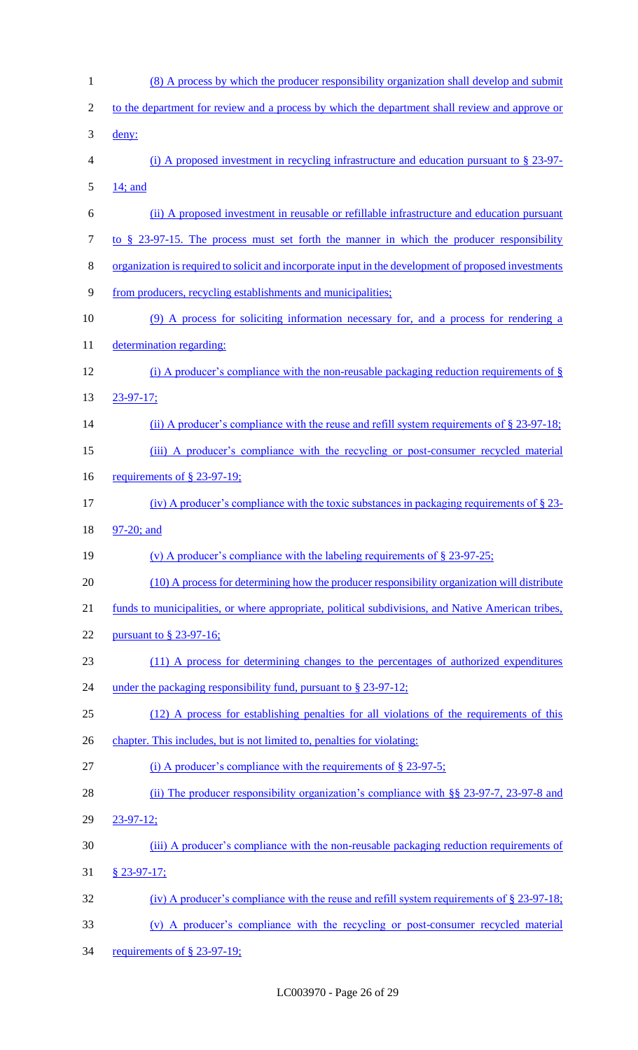| $\mathbf{1}$   | (8) A process by which the producer responsibility organization shall develop and submit             |
|----------------|------------------------------------------------------------------------------------------------------|
| $\overline{2}$ | to the department for review and a process by which the department shall review and approve or       |
| 3              | deny:                                                                                                |
| $\overline{4}$ | (i) A proposed investment in recycling infrastructure and education pursuant to $\S$ 23-97-          |
| 5              | 14; and                                                                                              |
| 6              | (ii) A proposed investment in reusable or refillable infrastructure and education pursuant           |
| $\overline{7}$ | to $\S$ 23-97-15. The process must set forth the manner in which the producer responsibility         |
| $8\,$          | organization is required to solicit and incorporate input in the development of proposed investments |
| 9              | from producers, recycling establishments and municipalities;                                         |
| 10             | (9) A process for soliciting information necessary for, and a process for rendering a                |
| 11             | determination regarding:                                                                             |
| 12             | (i) A producer's compliance with the non-reusable packaging reduction requirements of $\S$           |
| 13             | $23 - 97 - 17$ ;                                                                                     |
| 14             | (ii) A producer's compliance with the reuse and refill system requirements of $\S$ 23-97-18;         |
| 15             | (iii) A producer's compliance with the recycling or post-consumer recycled material                  |
| 16             | requirements of $\S$ 23-97-19;                                                                       |
| 17             | (iv) A producer's compliance with the toxic substances in packaging requirements of $\S$ 23-         |
|                |                                                                                                      |
| 18             | 97-20; and                                                                                           |
| 19             | (v) A producer's compliance with the labeling requirements of $\S$ 23-97-25;                         |
| 20             | (10) A process for determining how the producer responsibility organization will distribute          |
| 21             | funds to municipalities, or where appropriate, political subdivisions, and Native American tribes,   |
| 22             | pursuant to $\S$ 23-97-16;                                                                           |
| 23             | (11) A process for determining changes to the percentages of authorized expenditures                 |
| 24             | under the packaging responsibility fund, pursuant to $\S 23-97-12$ ;                                 |
| 25             | (12) A process for establishing penalties for all violations of the requirements of this             |
| 26             | chapter. This includes, but is not limited to, penalties for violating:                              |
| 27             | (i) A producer's compliance with the requirements of $\S$ 23-97-5;                                   |
| 28             | (ii) The producer responsibility organization's compliance with $\S$ 23-97-7, 23-97-8 and            |
| 29             | $23 - 97 - 12$ ;                                                                                     |
| 30             | (iii) A producer's compliance with the non-reusable packaging reduction requirements of              |
| 31             | $§$ 23-97-17;                                                                                        |
| 32             | (iv) A producer's compliance with the reuse and refill system requirements of $\S$ 23-97-18;         |
| 33             | (v) A producer's compliance with the recycling or post-consumer recycled material                    |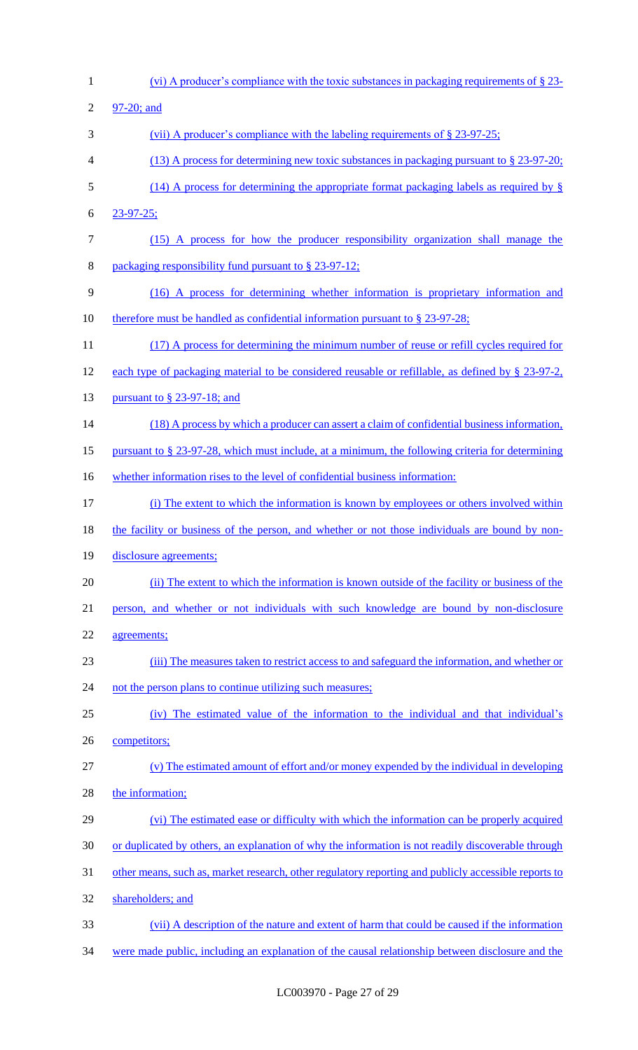(vi) A producer's compliance with the toxic substances in packaging requirements of § 23- 97-20; and 3 (vii) A producer's compliance with the labeling requirements of § 23-97-25; (13) A process for determining new toxic substances in packaging pursuant to § 23-97-20; (14) A process for determining the appropriate format packaging labels as required by § 23-97-25; (15) A process for how the producer responsibility organization shall manage the packaging responsibility fund pursuant to § 23-97-12; (16) A process for determining whether information is proprietary information and 10 therefore must be handled as confidential information pursuant to § 23-97-28; 11 (17) A process for determining the minimum number of reuse or refill cycles required for each type of packaging material to be considered reusable or refillable, as defined by § 23-97-2, 13 <u>pursuant to § 23-97-18; and</u> 14 (18) A process by which a producer can assert a claim of confidential business information, pursuant to § 23-97-28, which must include, at a minimum, the following criteria for determining 16 whether information rises to the level of confidential business information: (i) The extent to which the information is known by employees or others involved within 18 the facility or business of the person, and whether or not those individuals are bound by non-19 disclosure agreements; (ii) The extent to which the information is known outside of the facility or business of the person, and whether or not individuals with such knowledge are bound by non-disclosure agreements; (iii) The measures taken to restrict access to and safeguard the information, and whether or 24 not the person plans to continue utilizing such measures; (iv) The estimated value of the information to the individual and that individual's competitors; (v) The estimated amount of effort and/or money expended by the individual in developing 28 the information; (vi) The estimated ease or difficulty with which the information can be properly acquired or duplicated by others, an explanation of why the information is not readily discoverable through other means, such as, market research, other regulatory reporting and publicly accessible reports to shareholders; and (vii) A description of the nature and extent of harm that could be caused if the information were made public, including an explanation of the causal relationship between disclosure and the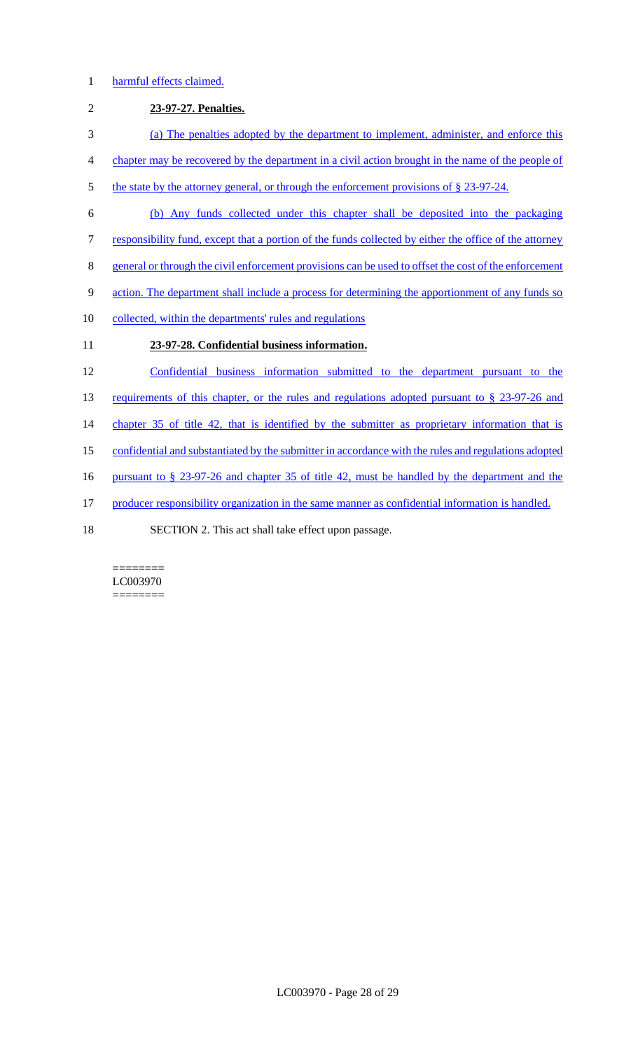### 1 harmful effects claimed.

# 2 **23-97-27. Penalties.**  3 (a) The penalties adopted by the department to implement, administer, and enforce this 4 chapter may be recovered by the department in a civil action brought in the name of the people of 5 the state by the attorney general, or through the enforcement provisions of § 23-97-24. 6 (b) Any funds collected under this chapter shall be deposited into the packaging 7 responsibility fund, except that a portion of the funds collected by either the office of the attorney 8 general or through the civil enforcement provisions can be used to offset the cost of the enforcement 9 action. The department shall include a process for determining the apportionment of any funds so 10 collected, within the departments' rules and regulations 11 **23-97-28. Confidential business information.**  12 Confidential business information submitted to the department pursuant to the 13 requirements of this chapter, or the rules and regulations adopted pursuant to § 23-97-26 and 14 chapter 35 of title 42, that is identified by the submitter as proprietary information that is 15 confidential and substantiated by the submitter in accordance with the rules and regulations adopted 16 pursuant to § 23-97-26 and chapter 35 of title 42, must be handled by the department and the 17 producer responsibility organization in the same manner as confidential information is handled. 18 SECTION 2. This act shall take effect upon passage.

#### ======== LC003970 ========